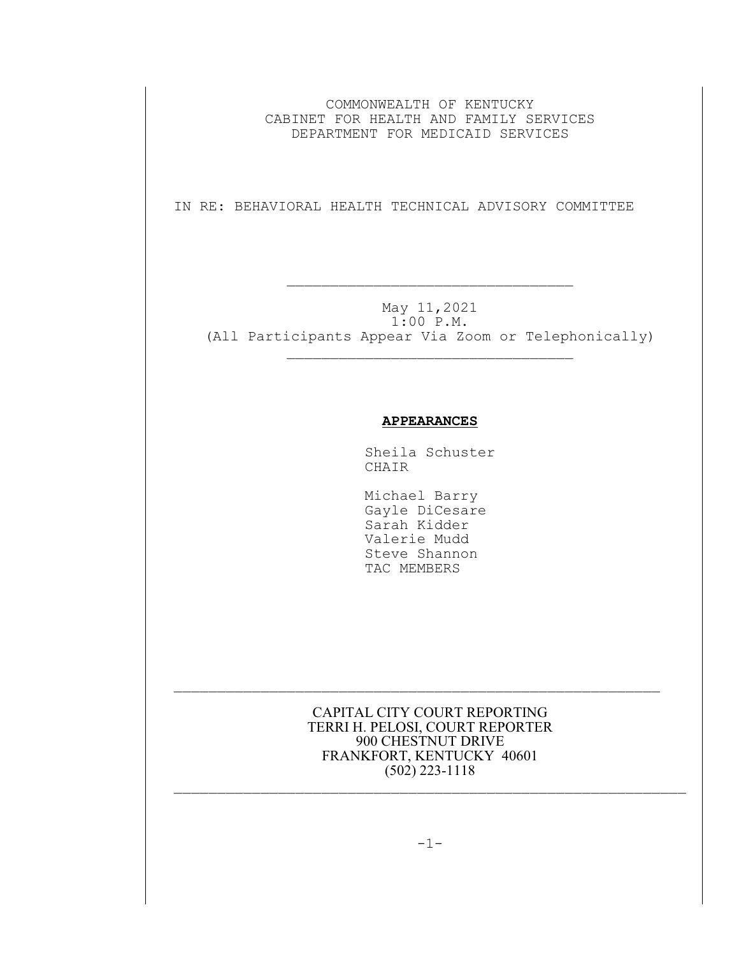COMMONWEALTH OF KENTUCKY CABINET FOR HEALTH AND FAMILY SERVICES DEPARTMENT FOR MEDICAID SERVICES

IN RE: BEHAVIORAL HEALTH TECHNICAL ADVISORY COMMITTEE

 $\mathcal{L}_\text{max}$  and  $\mathcal{L}_\text{max}$  and  $\mathcal{L}_\text{max}$  and  $\mathcal{L}_\text{max}$ 

May 11,2021 1:00 P.M. (All Participants Appear Via Zoom or Telephonically)

 $\mathcal{L}_\text{max}$ 

## **APPEARANCES**

Sheila Schuster CHAIR

 Michael Barry Gayle DiCesare Sarah Kidder Valerie Mudd Steve Shannon TAC MEMBERS

CAPITAL CITY COURT REPORTING TERRI H. PELOSI, COURT REPORTER 900 CHESTNUT DRIVE FRANKFORT, KENTUCKY 40601 (502) 223-1118  $\mathcal{L}_\text{max}$  and the contract of the contract of the contract of the contract of the contract of the contract of

 $\mathcal{L}_\text{max}$  and the contract of the contract of the contract of the contract of the contract of the contract of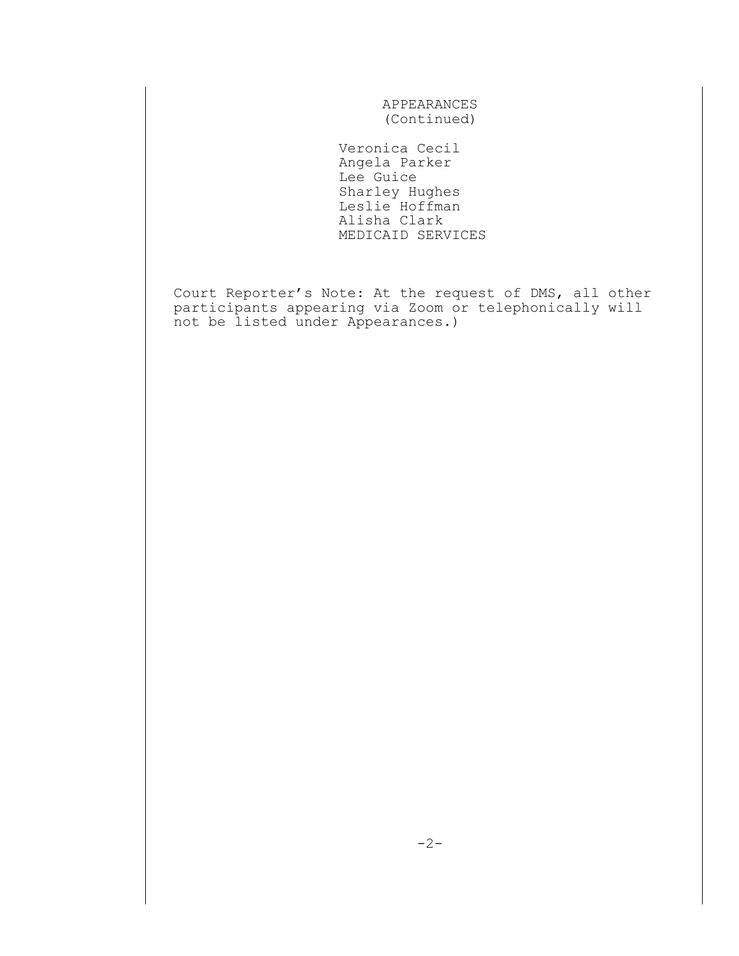APPEARANCES (Continued)

 Veronica Cecil Angela Parker Lee Guice Sharley Hughes Leslie Hoffman Alisha Clark MEDICAID SERVICES

Court Reporter's Note: At the request of DMS, all other participants appearing via Zoom or telephonically will not be listed under Appearances.)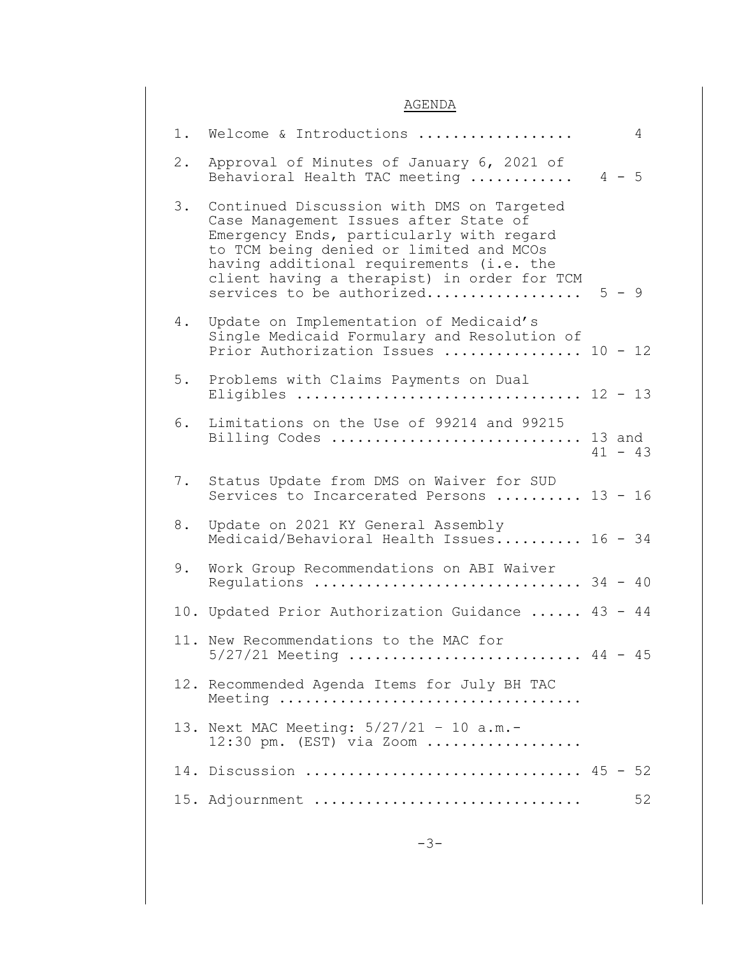## AGENDA

|       | 1. Welcome & Introductions                                                                                                                                                                                                                                                                        |         | 4         |
|-------|---------------------------------------------------------------------------------------------------------------------------------------------------------------------------------------------------------------------------------------------------------------------------------------------------|---------|-----------|
| $2$ . | Approval of Minutes of January 6, 2021 of<br>Behavioral Health TAC meeting                                                                                                                                                                                                                        | $4 - 5$ |           |
| 3.    | Continued Discussion with DMS on Targeted<br>Case Management Issues after State of<br>Emergency Ends, particularly with regard<br>to TCM being denied or limited and MCOs<br>having additional requirements (i.e. the<br>client having a therapist) in order for TCM<br>services to be authorized | $5 - 9$ |           |
| 4.    | Update on Implementation of Medicaid's<br>Single Medicaid Formulary and Resolution of<br>Prior Authorization Issues  10 - 12                                                                                                                                                                      |         |           |
| 5.    | Problems with Claims Payments on Dual<br>Eligibles  12 - 13                                                                                                                                                                                                                                       |         |           |
| 6.    | Limitations on the Use of 99214 and 99215<br>Billing Codes  13 and                                                                                                                                                                                                                                |         | $41 - 43$ |
| 7.    | Status Update from DMS on Waiver for SUD<br>Services to Incarcerated Persons  13 - 16                                                                                                                                                                                                             |         |           |
| 8.    | Update on 2021 KY General Assembly<br>Medicaid/Behavioral Health Issues 16 - 34                                                                                                                                                                                                                   |         |           |
| 9.    | Work Group Recommendations on ABI Waiver<br>Regulations  34 - 40                                                                                                                                                                                                                                  |         |           |
|       | 10. Updated Prior Authorization Guidance  43 - 44                                                                                                                                                                                                                                                 |         |           |
|       | 11. New Recommendations to the MAC for<br>$5/27/21$ Meeting  44 - 45                                                                                                                                                                                                                              |         |           |
|       | 12. Recommended Agenda Items for July BH TAC<br>Meeting                                                                                                                                                                                                                                           |         |           |
|       | 13. Next MAC Meeting: 5/27/21 - 10 a.m.-<br>12:30 pm. (EST) via Zoom                                                                                                                                                                                                                              |         |           |
|       | 14. Discussion  45 - 52                                                                                                                                                                                                                                                                           |         |           |
|       | 15. Adjournment                                                                                                                                                                                                                                                                                   |         | 52        |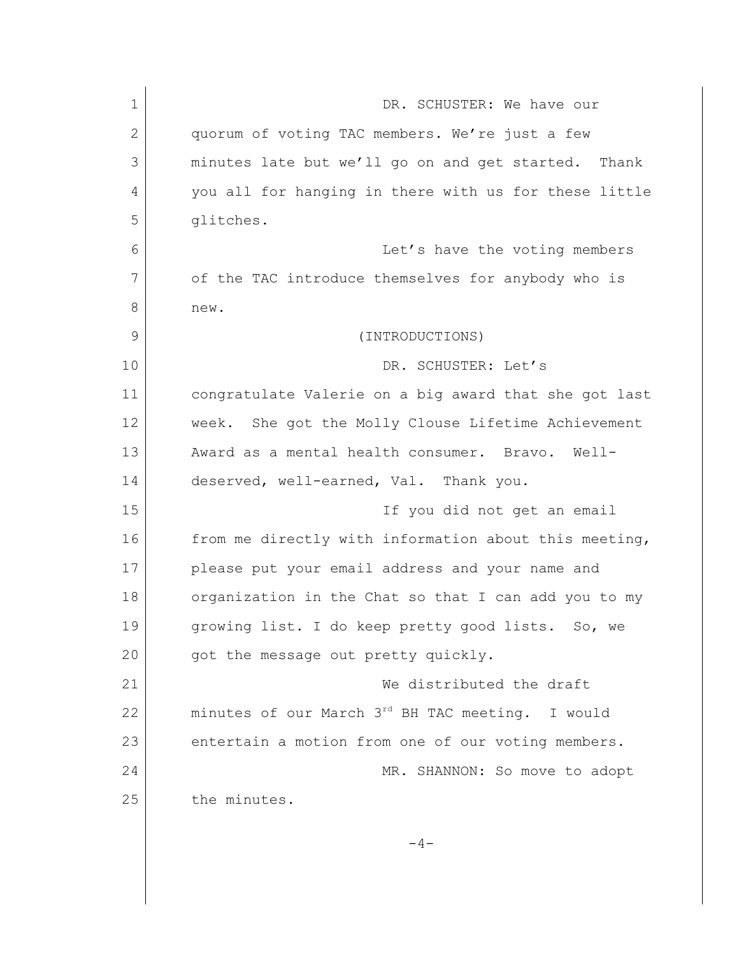| $\mathbf 1$ | DR. SCHUSTER: We have our                              |
|-------------|--------------------------------------------------------|
| 2           | quorum of voting TAC members. We're just a few         |
| 3           | minutes late but we'll go on and get started. Thank    |
| 4           | you all for hanging in there with us for these little  |
| 5           | glitches.                                              |
| 6           | Let's have the voting members                          |
| 7           | of the TAC introduce themselves for anybody who is     |
| 8           | new.                                                   |
| 9           | (INTRODUCTIONS)                                        |
| 10          | DR. SCHUSTER: Let's                                    |
| 11          | congratulate Valerie on a big award that she got last  |
| 12          | She got the Molly Clouse Lifetime Achievement<br>week. |
| 13          | Award as a mental health consumer. Bravo.<br>Well-     |
| 14          | deserved, well-earned, Val. Thank you.                 |
| 15          | If you did not get an email                            |
| 16          | from me directly with information about this meeting,  |
| 17          | please put your email address and your name and        |
| 18          | organization in the Chat so that I can add you to my   |
| 19          | growing list. I do keep pretty good lists. So, we      |
| 20          | got the message out pretty quickly.                    |
| 21          | We distributed the draft                               |
| 22          | minutes of our March 3rd BH TAC meeting. I would       |
| 23          | entertain a motion from one of our voting members.     |
| 24          | MR. SHANNON: So move to adopt                          |
| 25          | the minutes.                                           |
|             | $-4-$                                                  |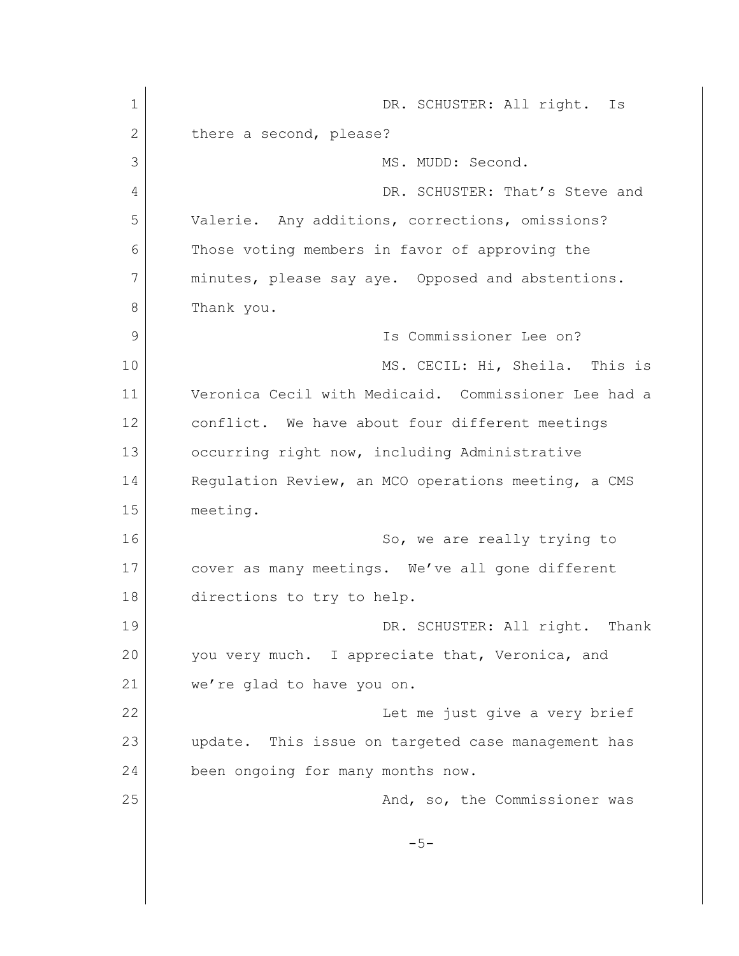1 DR. SCHUSTER: All right. Is 2 there a second, please? 3 MS. MUDD: Second. 4 DR. SCHUSTER: That's Steve and 5 Valerie. Any additions, corrections, omissions? 6 Those voting members in favor of approving the 7 minutes, please say aye. Opposed and abstentions. 8 Thank you. 9 Is Commissioner Lee on? 10 MS. CECIL: Hi, Sheila. This is 11 Veronica Cecil with Medicaid. Commissioner Lee had a 12 conflict. We have about four different meetings 13 occurring right now, including Administrative 14 Requiation Review, an MCO operations meeting, a CMS 15 meeting. 16 So, we are really trying to 17 cover as many meetings. We've all gone different 18 directions to try to help. 19 DR. SCHUSTER: All right. Thank 20 you very much. I appreciate that, Veronica, and 21 we're glad to have you on. 22 | Constant Let me just give a very brief 23 update. This issue on targeted case management has 24 been ongoing for many months now. 25 And, so, the Commissioner was  $-5-$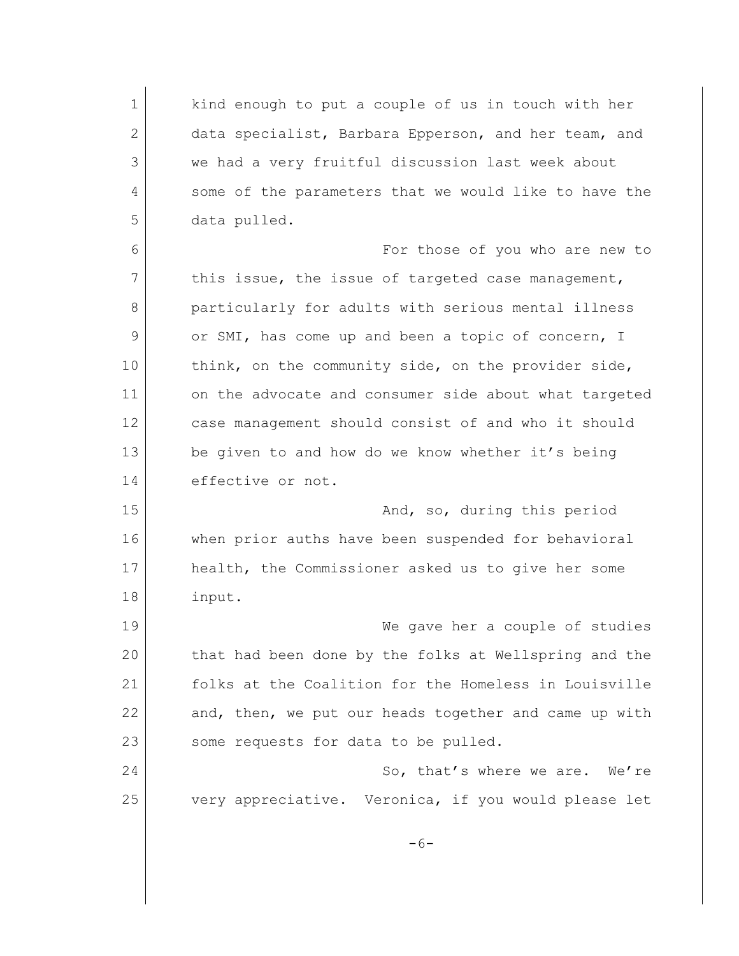1 kind enough to put a couple of us in touch with her 2 data specialist, Barbara Epperson, and her team, and 3 we had a very fruitful discussion last week about 4 some of the parameters that we would like to have the 5 data pulled. 6 For those of you who are new to 7 this issue, the issue of targeted case management, 8 particularly for adults with serious mental illness 9 or SMI, has come up and been a topic of concern, I 10 think, on the community side, on the provider side, 11 on the advocate and consumer side about what targeted 12 case management should consist of and who it should 13 be given to and how do we know whether it's being 14 effective or not. 15 and, so, during this period 16 when prior auths have been suspended for behavioral 17 health, the Commissioner asked us to give her some 18 input. 19 We gave her a couple of studies 20 that had been done by the folks at Wellspring and the 21 folks at the Coalition for the Homeless in Louisville 22 and, then, we put our heads together and came up with 23 some requests for data to be pulled. 24 So, that's where we are. We're 25 very appreciative. Veronica, if you would please let  $-6-$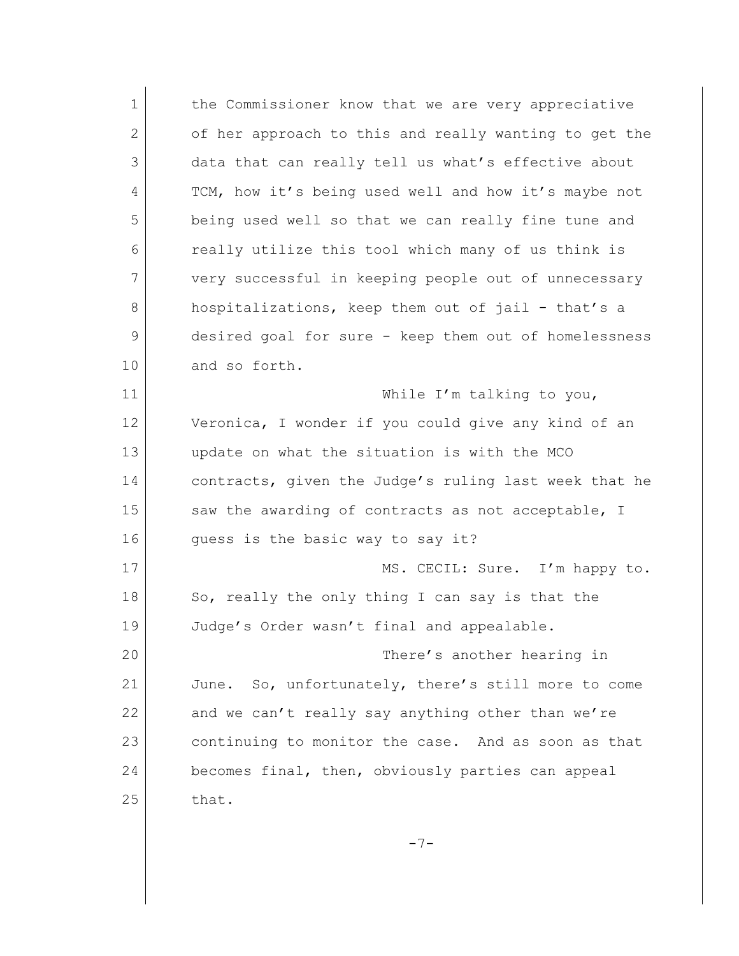1 the Commissioner know that we are very appreciative 2 of her approach to this and really wanting to get the 3 data that can really tell us what's effective about 4 TCM, how it's being used well and how it's maybe not 5 being used well so that we can really fine tune and 6 really utilize this tool which many of us think is 7 very successful in keeping people out of unnecessary 8 hospitalizations, keep them out of jail - that's a 9 desired goal for sure - keep them out of homelessness 10 and so forth. 11 While I'm talking to you, 12 Veronica, I wonder if you could give any kind of an 13 update on what the situation is with the MCO 14 contracts, given the Judge's ruling last week that he 15 Saw the awarding of contracts as not acceptable, I 16 quess is the basic way to say it? 17 MS. CECIL: Sure. I'm happy to. 18 So, really the only thing I can say is that the 19 Judge's Order wasn't final and appealable. 20 There's another hearing in 21 June. So, unfortunately, there's still more to come 22 and we can't really say anything other than we're 23 continuing to monitor the case. And as soon as that 24 becomes final, then, obviously parties can appeal  $25$  that.

 $-7-$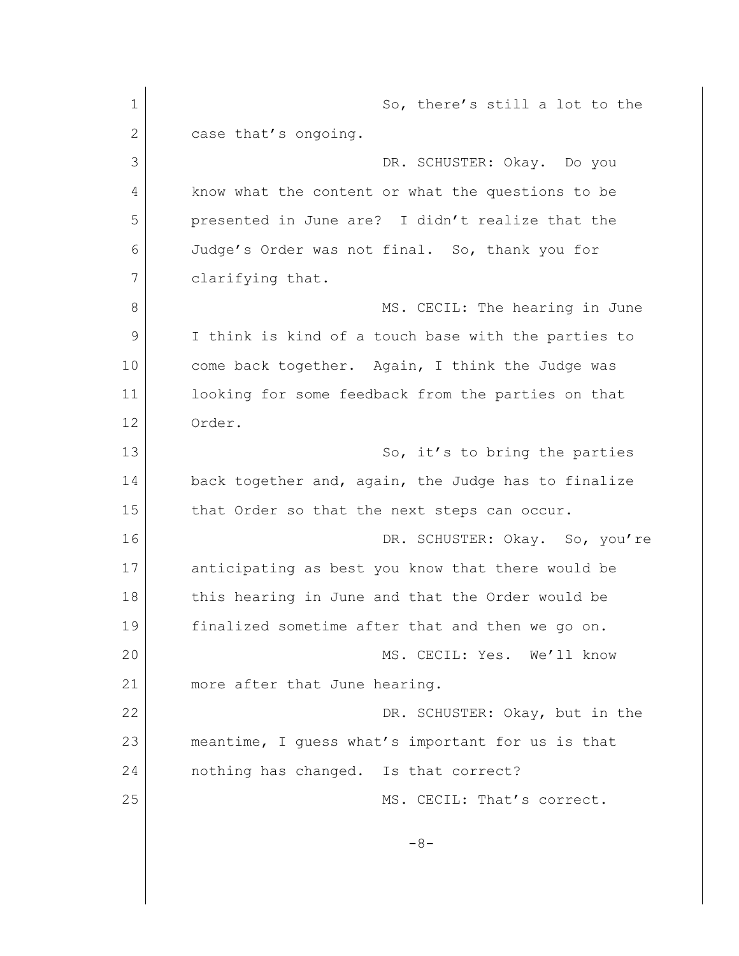1 So, there's still a lot to the 2 case that's ongoing. 3 DR. SCHUSTER: Okay. Do you 4 know what the content or what the questions to be 5 presented in June are? I didn't realize that the 6 Judge's Order was not final. So, thank you for 7 clarifying that. 8 MS. CECIL: The hearing in June 9 I think is kind of a touch base with the parties to 10 come back together. Again, I think the Judge was 11 looking for some feedback from the parties on that 12 Order. 13 So, it's to bring the parties 14 back together and, again, the Judge has to finalize 15 that Order so that the next steps can occur. 16 DR. SCHUSTER: Okay. So, you're 17 anticipating as best you know that there would be 18 this hearing in June and that the Order would be 19 finalized sometime after that and then we go on. 20 MS. CECIL: Yes. We'll know 21 more after that June hearing. 22 DR. SCHUSTER: Okay, but in the 23 meantime, I guess what's important for us is that 24 nothing has changed. Is that correct? 25 MS. CECIL: That's correct.  $-8-$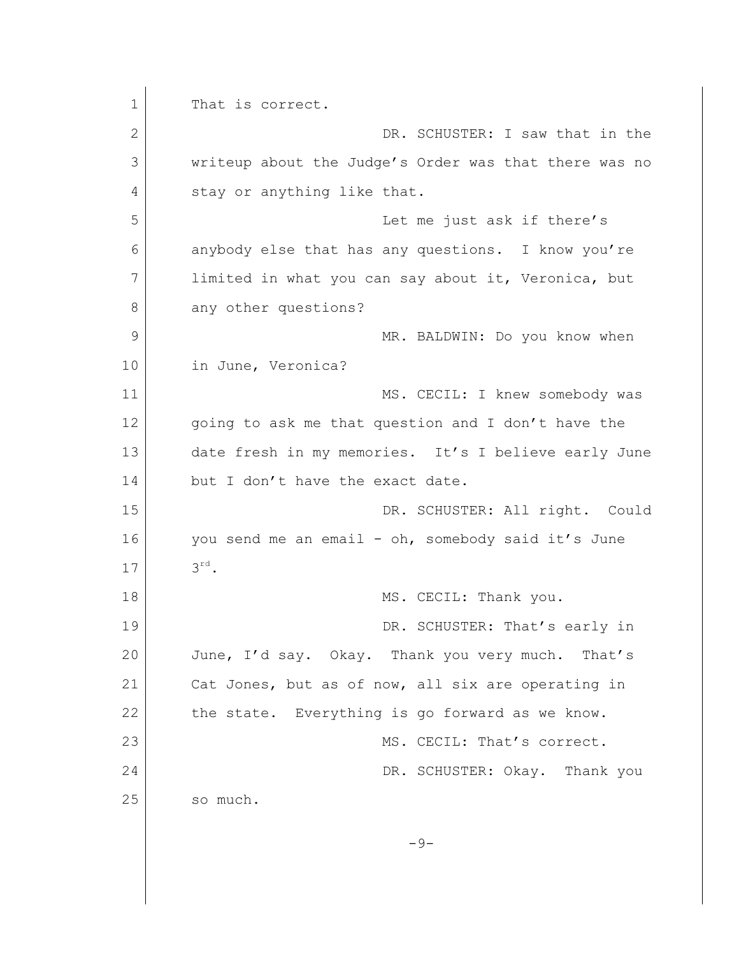1 That is correct. 2 DR. SCHUSTER: I saw that in the 3 writeup about the Judge's Order was that there was no 4 stay or anything like that. 5 Let me just ask if there's 6 anybody else that has any questions. I know you're 7 limited in what you can say about it, Veronica, but 8 any other questions? 9 MR. BALDWIN: Do you know when 10 in June, Veronica? 11 MS. CECIL: I knew somebody was 12 going to ask me that question and I don't have the 13 date fresh in my memories. It's I believe early June 14 but I don't have the exact date. 15 DR. SCHUSTER: All right. Could 16 you send me an email - oh, somebody said it's June 17 rd. 18 MS. CECIL: Thank you. 19 DR. SCHUSTER: That's early in 20 June, I'd say. Okay. Thank you very much. That's 21 Cat Jones, but as of now, all six are operating in 22 the state. Everything is go forward as we know. 23 MS. CECIL: That's correct. 24 DR. SCHUSTER: Okay. Thank you 25 so much.  $-9-$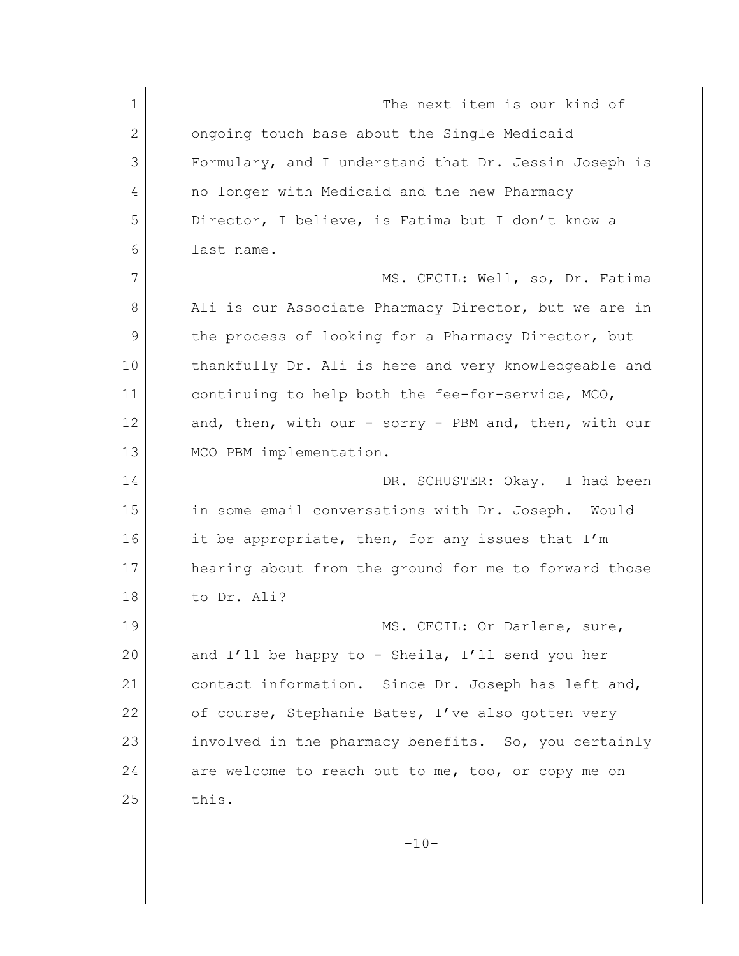1 The next item is our kind of 2 ongoing touch base about the Single Medicaid 3 Formulary, and I understand that Dr. Jessin Joseph is 4 no longer with Medicaid and the new Pharmacy 5 Director, I believe, is Fatima but I don't know a 6 last name. 7 MS. CECIL: Well, so, Dr. Fatima 8 Ali is our Associate Pharmacy Director, but we are in 9 the process of looking for a Pharmacy Director, but 10 thankfully Dr. Ali is here and very knowledgeable and 11 continuing to help both the fee-for-service, MCO, 12 and, then, with our - sorry - PBM and, then, with our 13 MCO PBM implementation. 14 DR. SCHUSTER: Okay. I had been 15 in some email conversations with Dr. Joseph. Would 16 it be appropriate, then, for any issues that I'm 17 hearing about from the ground for me to forward those 18 to Dr. Ali? 19 MS. CECIL: Or Darlene, sure, 20 and I'll be happy to - Sheila, I'll send you her 21 contact information. Since Dr. Joseph has left and, 22 of course, Stephanie Bates, I've also gotten very 23 involved in the pharmacy benefits. So, you certainly 24 are welcome to reach out to me, too, or copy me on  $25$  this.  $-10-$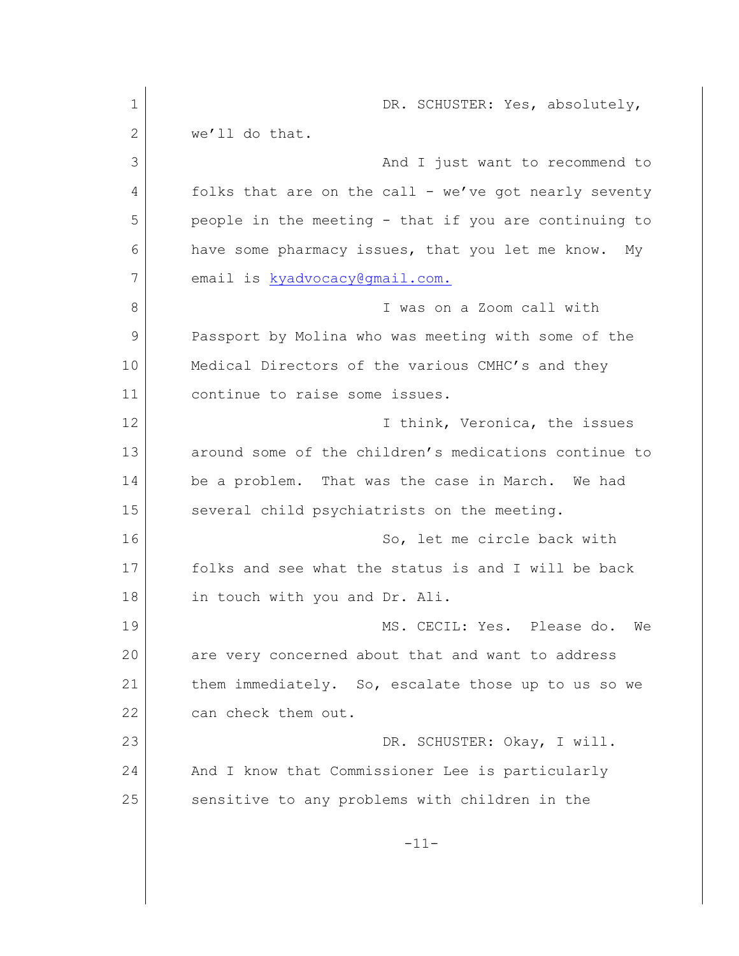1 DR. SCHUSTER: Yes, absolutely,  $2$  we'll do that. 3 And I just want to recommend to 4 folks that are on the call - we've got nearly seventy 5 people in the meeting - that if you are continuing to 6 have some pharmacy issues, that you let me know. My 7 email is [kyadvocacy@gmail.com.](mailto:kyadvocacy@gmail.com.) 8 I was on a Zoom call with 9 Passport by Molina who was meeting with some of the 10 Medical Directors of the various CMHC's and they 11 continue to raise some issues. 12 **I** think, Veronica, the issues 13 around some of the children's medications continue to 14 be a problem. That was the case in March. We had 15 several child psychiatrists on the meeting. 16 So, let me circle back with 17 folks and see what the status is and I will be back 18 in touch with you and Dr. Ali. 19 MS. CECIL: Yes. Please do. We 20 are very concerned about that and want to address 21 them immediately. So, escalate those up to us so we 22 can check them out. 23 DR. SCHUSTER: Okay, I will. 24 And I know that Commissioner Lee is particularly 25 sensitive to any problems with children in the -11-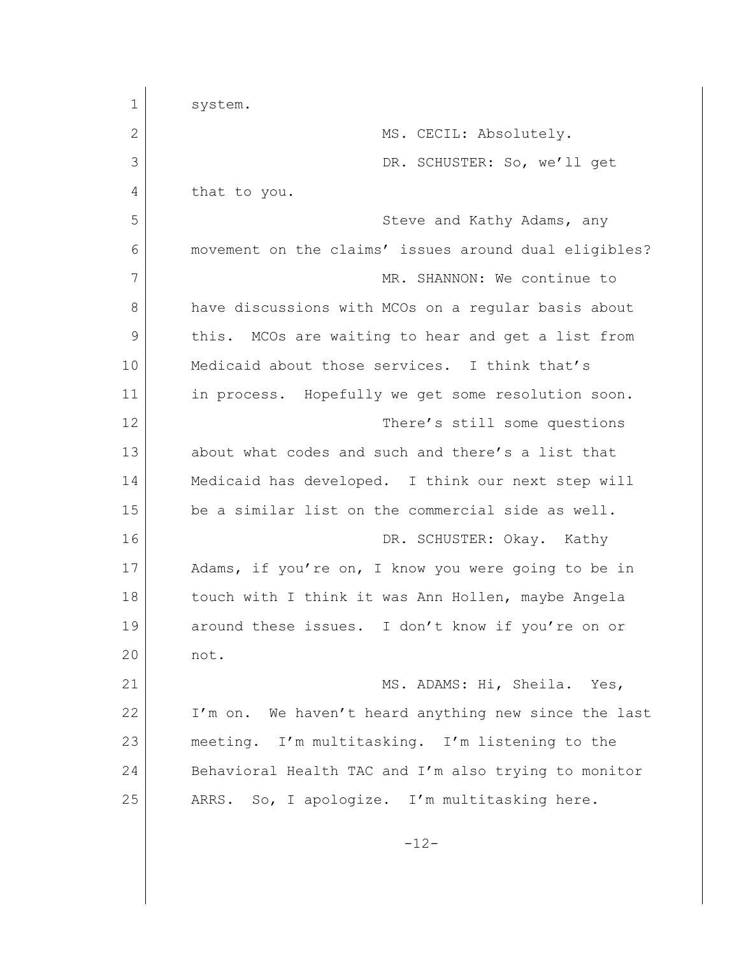| $\mathbf 1$ | system.                                               |
|-------------|-------------------------------------------------------|
| 2           | MS. CECIL: Absolutely.                                |
| 3           | DR. SCHUSTER: So, we'll get                           |
| 4           | that to you.                                          |
| 5           | Steve and Kathy Adams, any                            |
| 6           | movement on the claims' issues around dual eligibles? |
| 7           | MR. SHANNON: We continue to                           |
| 8           | have discussions with MCOs on a regular basis about   |
| 9           | MCOs are waiting to hear and get a list from<br>this. |
| 10          | Medicaid about those services. I think that's         |
| 11          | in process. Hopefully we get some resolution soon.    |
| 12          | There's still some questions                          |
| 13          | about what codes and such and there's a list that     |
| 14          | Medicaid has developed. I think our next step will    |
| 15          | be a similar list on the commercial side as well.     |
| 16          | DR. SCHUSTER: Okay. Kathy                             |
| 17          | Adams, if you're on, I know you were going to be in   |
| 18          | touch with I think it was Ann Hollen, maybe Angela    |
| 19          | around these issues. I don't know if you're on or     |
| 20          | not.                                                  |
| 21          | MS. ADAMS: Hi, Sheila. Yes,                           |
| 22          | I'm on. We haven't heard anything new since the last  |
| 23          | meeting. I'm multitasking. I'm listening to the       |
| 24          | Behavioral Health TAC and I'm also trying to monitor  |
| 25          | ARRS. So, I apologize. I'm multitasking here.         |
|             | $-12-$                                                |
|             |                                                       |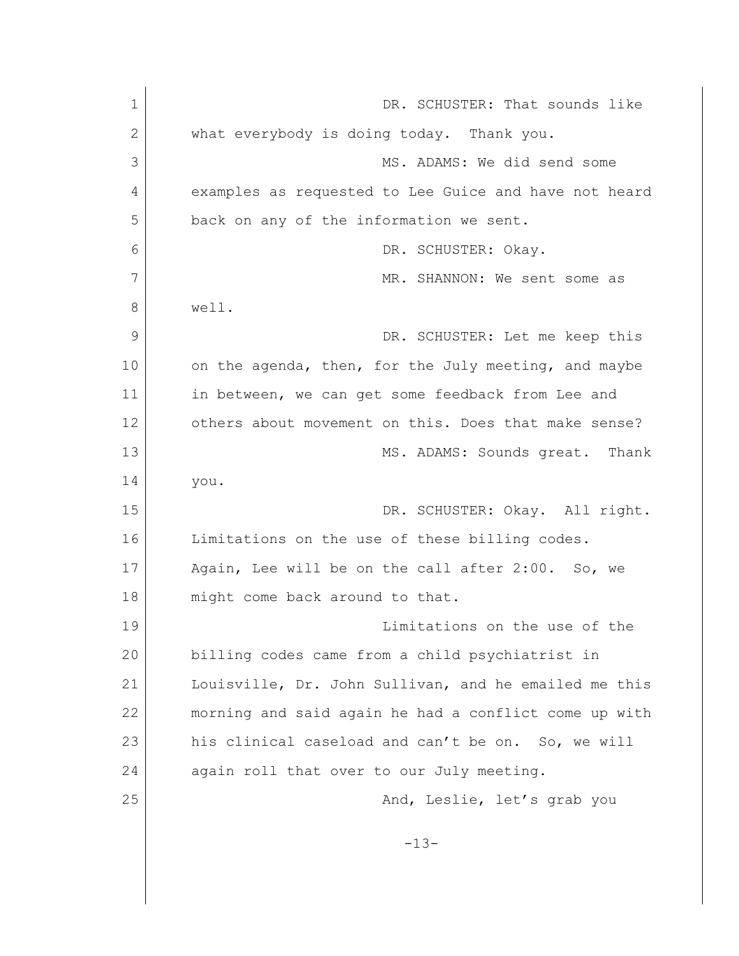| $\mathbf 1$  | DR. SCHUSTER: That sounds like                        |
|--------------|-------------------------------------------------------|
| $\mathbf{2}$ | what everybody is doing today. Thank you.             |
| 3            | MS. ADAMS: We did send some                           |
| 4            | examples as requested to Lee Guice and have not heard |
| 5            | back on any of the information we sent.               |
| 6            | DR. SCHUSTER: Okay.                                   |
| 7            | MR. SHANNON: We sent some as                          |
| 8            | well.                                                 |
| 9            | DR. SCHUSTER: Let me keep this                        |
| 10           | on the agenda, then, for the July meeting, and maybe  |
| 11           | in between, we can get some feedback from Lee and     |
| 12           | others about movement on this. Does that make sense?  |
| 13           | MS. ADAMS: Sounds great. Thank                        |
| 14           | you.                                                  |
| 15           | DR. SCHUSTER: Okay. All right.                        |
| 16           | Limitations on the use of these billing codes.        |
| 17           | Again, Lee will be on the call after 2:00. So, we     |
| 18           | might come back around to that.                       |
| 19           | Limitations on the use of the                         |
| 20           | billing codes came from a child psychiatrist in       |
| 21           | Louisville, Dr. John Sullivan, and he emailed me this |
| 22           | morning and said again he had a conflict come up with |
| 23           | his clinical caseload and can't be on. So, we will    |
| 24           | again roll that over to our July meeting.             |
| 25           | And, Leslie, let's grab you                           |
|              | $-13-$                                                |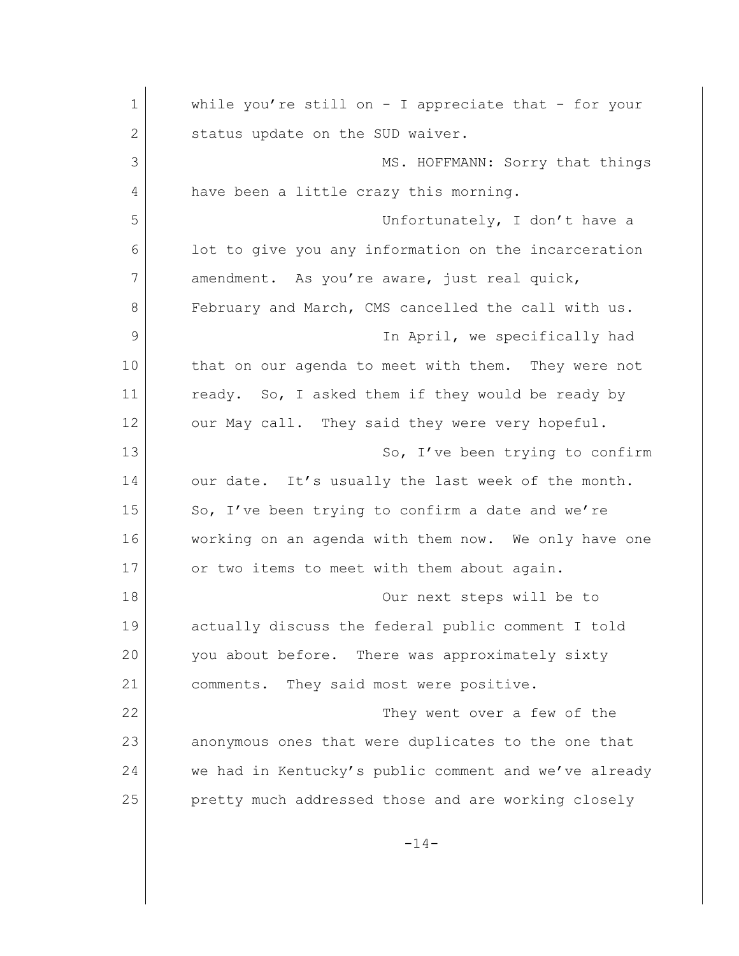1 while you're still on - I appreciate that - for your 2 Status update on the SUD waiver. 3 MS. HOFFMANN: Sorry that things 4 have been a little crazy this morning. 5 Unfortunately, I don't have a 6 **lot** to give you any information on the incarceration 7 amendment. As you're aware, just real quick, 8 February and March, CMS cancelled the call with us. 9 Section 1 appearance in April, we specifically had 10 that on our agenda to meet with them. They were not 11 ready. So, I asked them if they would be ready by 12 our May call. They said they were very hopeful. 13 So, I've been trying to confirm 14 our date. It's usually the last week of the month. 15 So, I've been trying to confirm a date and we're 16 working on an agenda with them now. We only have one 17 or two items to meet with them about again. 18 Our next steps will be to 19 actually discuss the federal public comment I told 20 you about before. There was approximately sixty 21 comments. They said most were positive. 22 They went over a few of the 23 anonymous ones that were duplicates to the one that 24 we had in Kentucky's public comment and we've already 25 pretty much addressed those and are working closely

 $-14-$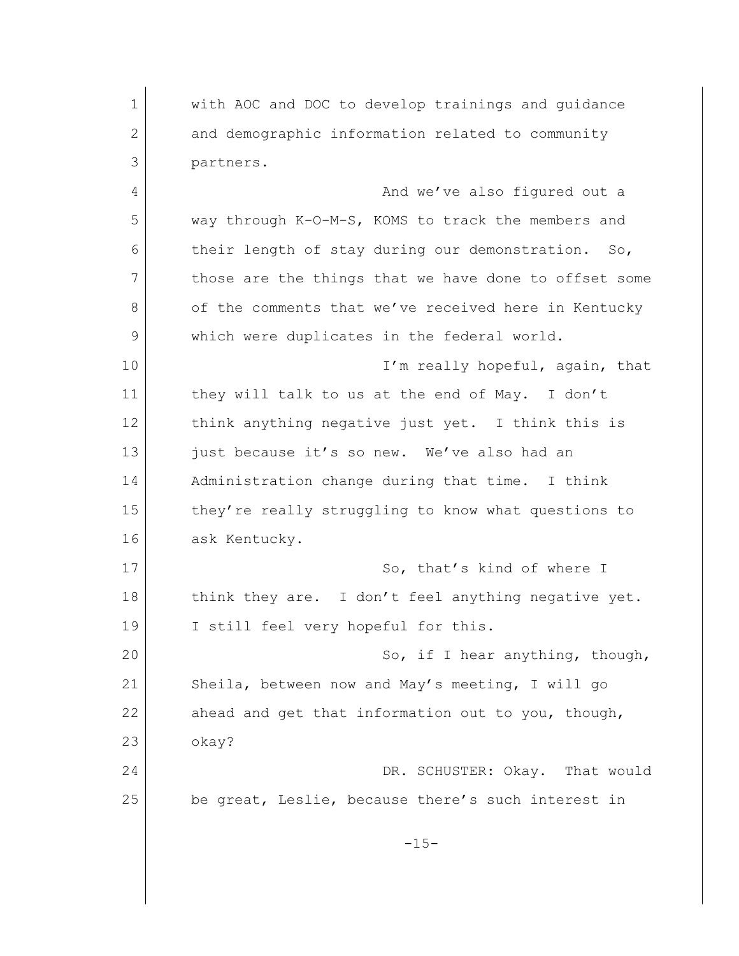1 with AOC and DOC to develop trainings and guidance 2 and demographic information related to community 3 partners. 4 And we've also figured out a 5 way through K-O-M-S, KOMS to track the members and 6 their length of stay during our demonstration. So, 7 those are the things that we have done to offset some 8 of the comments that we've received here in Kentucky 9 which were duplicates in the federal world. 10 I'm really hopeful, again, that 11 they will talk to us at the end of May. I don't 12 think anything negative just yet. I think this is 13 just because it's so new. We've also had an 14 Administration change during that time. I think 15 they're really struggling to know what questions to 16 ask Kentucky. 17 So, that's kind of where I 18 think they are. I don't feel anything negative yet. 19 I still feel very hopeful for this. 20 So, if I hear anything, though, 21 Sheila, between now and May's meeting, I will go 22 ahead and get that information out to you, though, 23 okay? 24 | No. 24 | DR. SCHUSTER: Okay. That would 25 be great, Leslie, because there's such interest in  $-15-$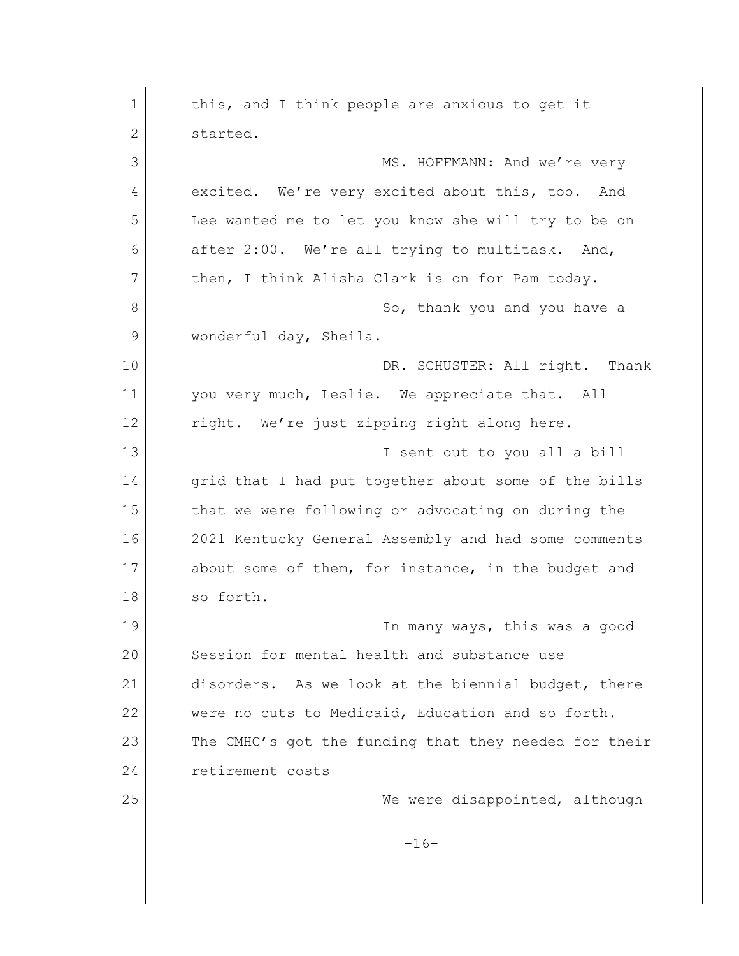1 this, and I think people are anxious to get it 2 started. 3 MS. HOFFMANN: And we're very 4 excited. We're very excited about this, too. And 5 Lee wanted me to let you know she will try to be on 6 after 2:00. We're all trying to multitask. And, 7 then, I think Alisha Clark is on for Pam today. 8 So, thank you and you have a 9 wonderful day, Sheila. 10 DR. SCHUSTER: All right. Thank 11 you very much, Leslie. We appreciate that. All 12 right. We're just zipping right along here. 13 I sent out to you all a bill 14 grid that I had put together about some of the bills 15 that we were following or advocating on during the 16 2021 Kentucky General Assembly and had some comments 17 about some of them, for instance, in the budget and 18 so forth. 19 In many ways, this was a good 20 Session for mental health and substance use 21 disorders. As we look at the biennial budget, there 22 | were no cuts to Medicaid, Education and so forth. 23 The CMHC's got the funding that they needed for their 24 retirement costs 25 We were disappointed, although  $-16-$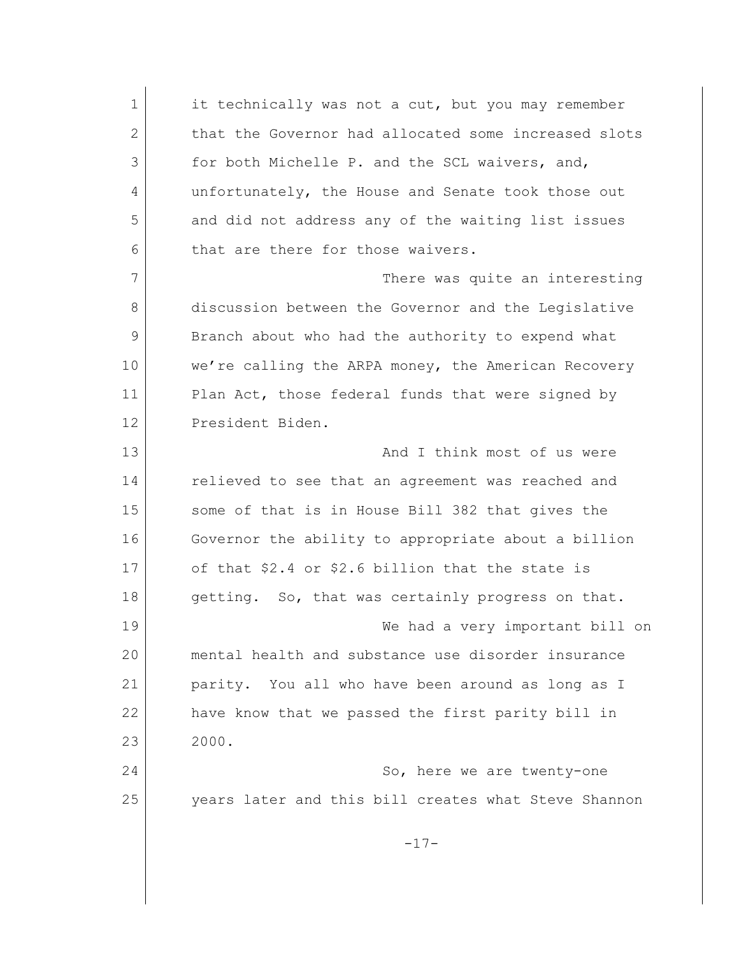1 it technically was not a cut, but you may remember 2 that the Governor had allocated some increased slots 3 for both Michelle P. and the SCL waivers, and, 4 unfortunately, the House and Senate took those out 5 and did not address any of the waiting list issues 6 that are there for those waivers. 7 There was quite an interesting 8 discussion between the Governor and the Legislative 9 Branch about who had the authority to expend what 10 we're calling the ARPA money, the American Recovery 11 Plan Act, those federal funds that were signed by 12 President Biden. 13 and I think most of us were 14 relieved to see that an agreement was reached and 15 some of that is in House Bill 382 that gives the 16 Governor the ability to appropriate about a billion 17 of that \$2.4 or \$2.6 billion that the state is 18 getting. So, that was certainly progress on that. 19 We had a very important bill on 20 mental health and substance use disorder insurance 21 parity. You all who have been around as long as I 22 have know that we passed the first parity bill in 23 2000. 24 So, here we are twenty-one 25 years later and this bill creates what Steve Shannon  $-17-$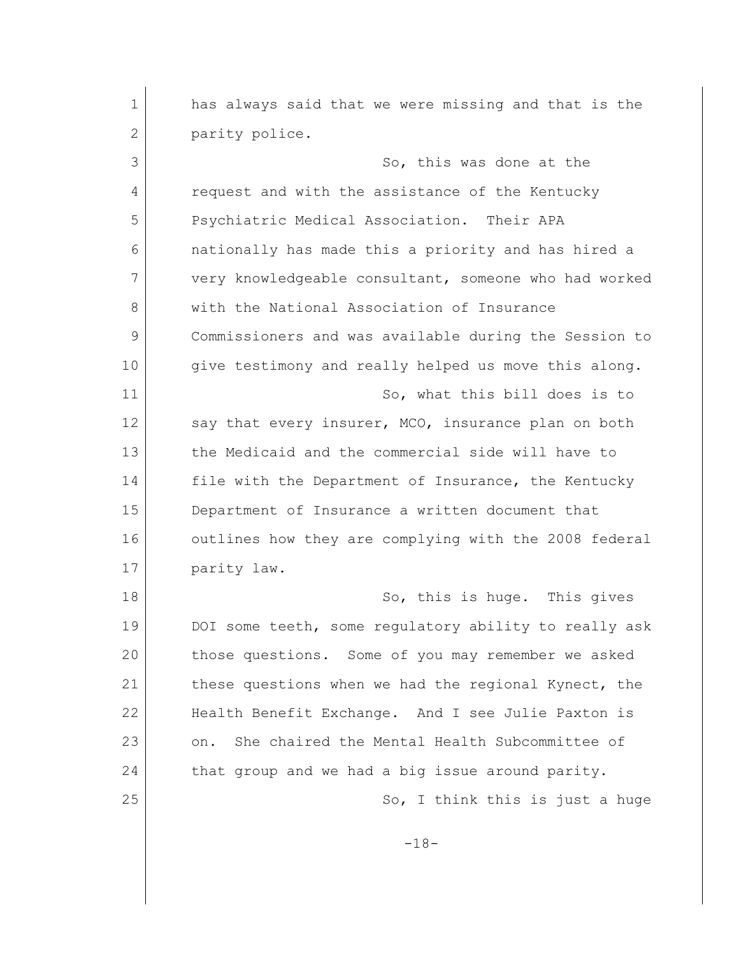1 has always said that we were missing and that is the 2 parity police. 3 So, this was done at the 4 request and with the assistance of the Kentucky 5 Psychiatric Medical Association. Their APA 6 nationally has made this a priority and has hired a 7 very knowledgeable consultant, someone who had worked 8 with the National Association of Insurance 9 Commissioners and was available during the Session to 10 give testimony and really helped us move this along. 11 So, what this bill does is to 12 say that every insurer, MCO, insurance plan on both 13 the Medicaid and the commercial side will have to 14 file with the Department of Insurance, the Kentucky 15 Department of Insurance a written document that 16 outlines how they are complying with the 2008 federal 17 **parity** law. 18 So, this is huge. This gives 19 DOI some teeth, some requlatory ability to really ask 20 those questions. Some of you may remember we asked 21 these questions when we had the regional Kynect, the 22 Health Benefit Exchange. And I see Julie Paxton is 23 on. She chaired the Mental Health Subcommittee of 24 that group and we had a big issue around parity. 25 So, I think this is just a huge -18-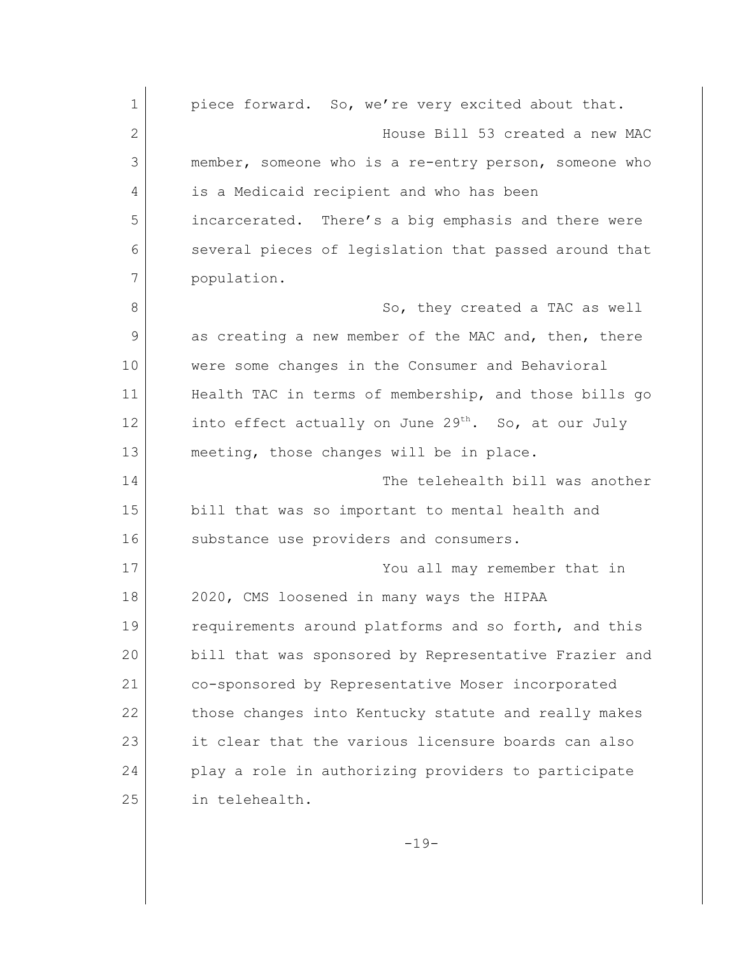1 piece forward. So, we're very excited about that. 2 House Bill 53 created a new MAC 3 member, someone who is a re-entry person, someone who 4 is a Medicaid recipient and who has been 5 incarcerated. There's a big emphasis and there were 6 several pieces of legislation that passed around that 7 population. 8 So, they created a TAC as well 9 as creating a new member of the MAC and, then, there 10 | were some changes in the Consumer and Behavioral 11 Health TAC in terms of membership, and those bills go 12 into effect actually on June  $29^{th}$ . So, at our July 13 meeting, those changes will be in place. 14 The telehealth bill was another 15 bill that was so important to mental health and 16 substance use providers and consumers. 17 You all may remember that in 18 2020, CMS loosened in many ways the HIPAA 19 requirements around platforms and so forth, and this 20 bill that was sponsored by Representative Frazier and 21 co-sponsored by Representative Moser incorporated 22 those changes into Kentucky statute and really makes 23 it clear that the various licensure boards can also 24 play a role in authorizing providers to participate 25 in telehealth.

 $-19-$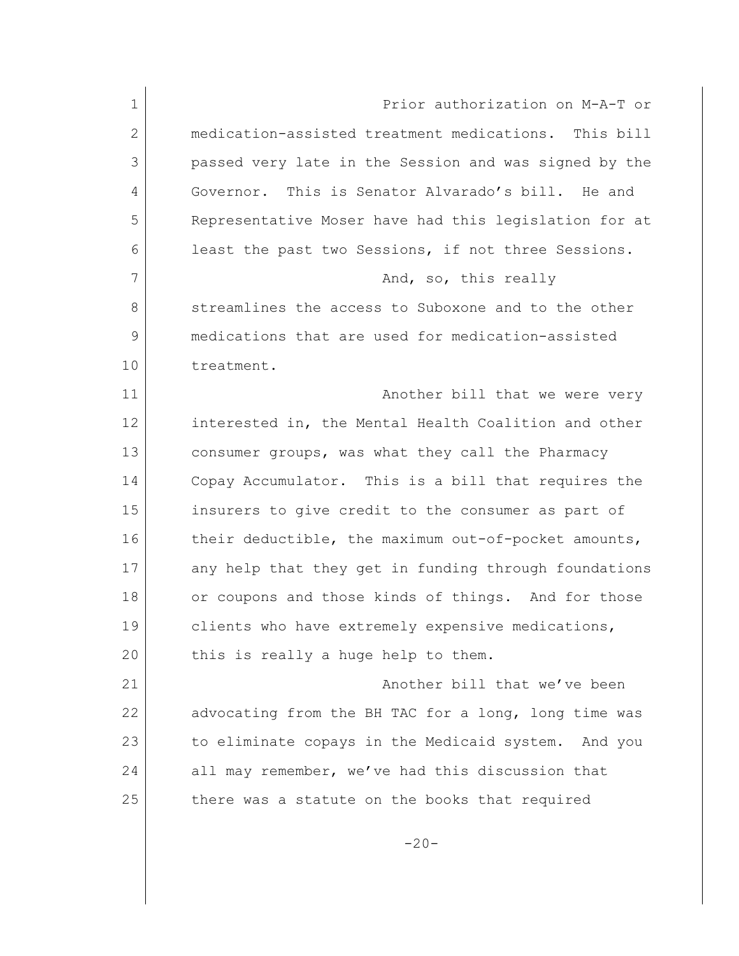1 Prior authorization on M-A-T or 2 medication-assisted treatment medications. This bill 3 passed very late in the Session and was signed by the 4 Governor. This is Senator Alvarado's bill. He and 5 Representative Moser have had this legislation for at 6 least the past two Sessions, if not three Sessions. 7 And, so, this really 8 streamlines the access to Suboxone and to the other 9 medications that are used for medication-assisted 10 treatment. 11 another bill that we were very 12 interested in, the Mental Health Coalition and other 13 consumer groups, was what they call the Pharmacy 14 Copay Accumulator. This is a bill that requires the 15 insurers to give credit to the consumer as part of 16 their deductible, the maximum out-of-pocket amounts, 17 any help that they get in funding through foundations 18 or coupons and those kinds of things. And for those 19 clients who have extremely expensive medications, 20 this is really a huge help to them. 21 Another bill that we've been 22 advocating from the BH TAC for a long, long time was 23 to eliminate copays in the Medicaid system. And you 24 all may remember, we've had this discussion that 25 there was a statute on the books that required

 $-20-$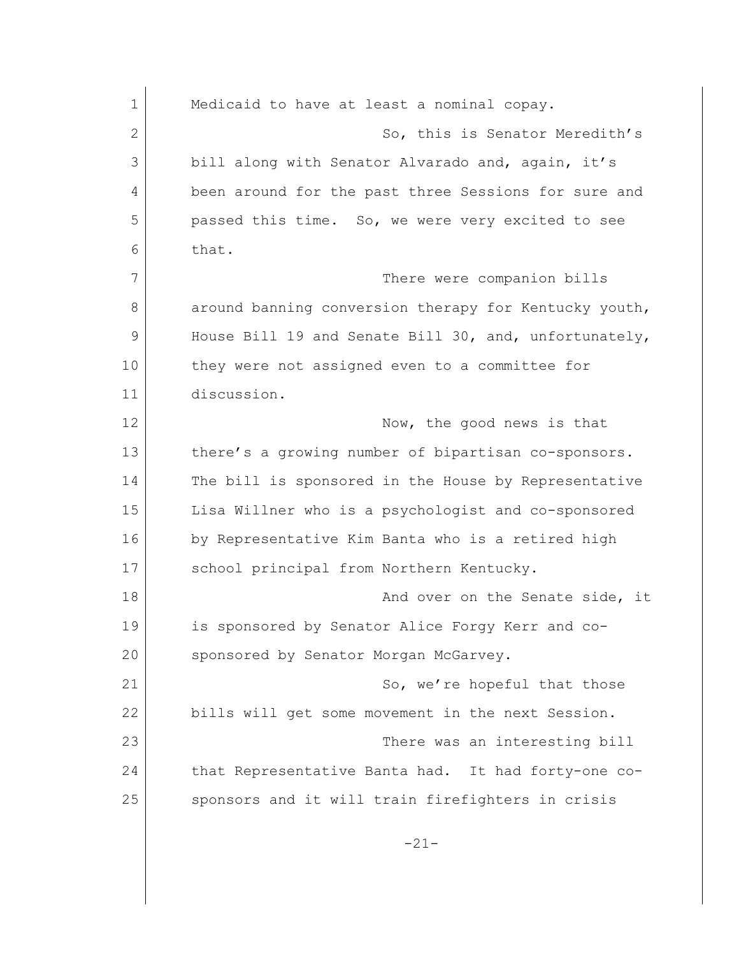1 Medicaid to have at least a nominal copay. 2 So, this is Senator Meredith's 3 bill along with Senator Alvarado and, again, it's 4 been around for the past three Sessions for sure and 5 passed this time. So, we were very excited to see 6 that. 7 There were companion bills 8 around banning conversion therapy for Kentucky youth, 9 House Bill 19 and Senate Bill 30, and, unfortunately, 10 they were not assigned even to a committee for 11 discussion. 12 Now, the good news is that 13 there's a growing number of bipartisan co-sponsors. 14 The bill is sponsored in the House by Representative 15 Lisa Willner who is a psychologist and co-sponsored 16 by Representative Kim Banta who is a retired high 17 school principal from Northern Kentucky. 18 and over on the Senate side, it 19 is sponsored by Senator Alice Forgy Kerr and co-20 sponsored by Senator Morgan McGarvey. 21 So, we're hopeful that those 22 bills will get some movement in the next Session. 23 There was an interesting bill 24 that Representative Banta had. It had forty-one co-25 sponsors and it will train firefighters in crisis -21-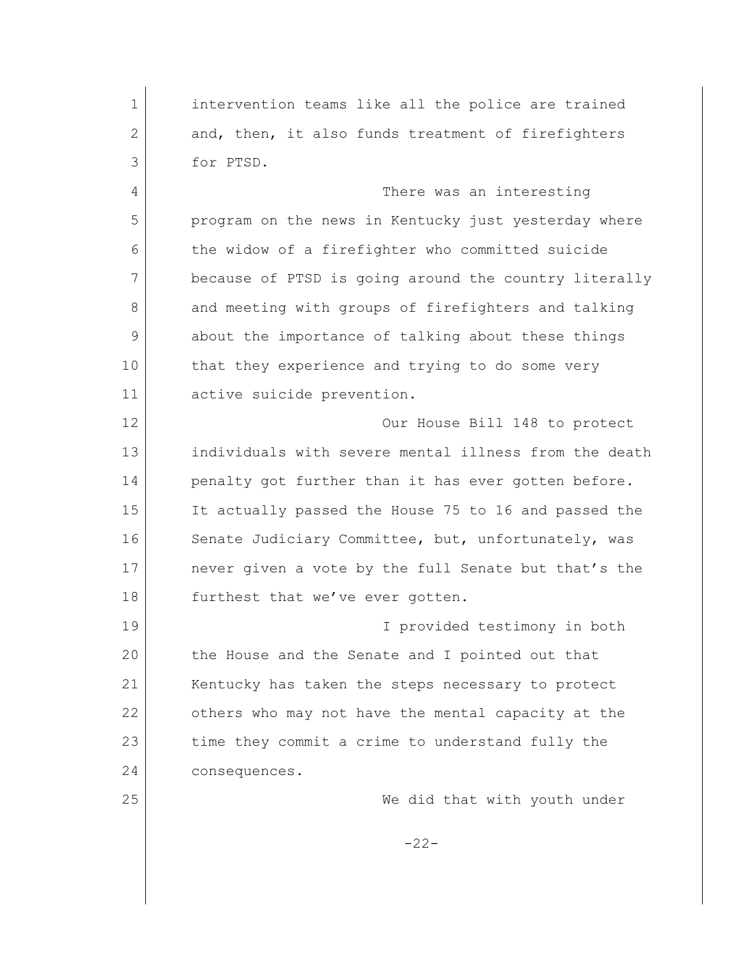intervention teams like all the police are trained 2 and, then, it also funds treatment of firefighters for PTSD. There was an interesting program on the news in Kentucky just yesterday where the widow of a firefighter who committed suicide because of PTSD is going around the country literally 8 and meeting with groups of firefighters and talking about the importance of talking about these things 10 that they experience and trying to do some very active suicide prevention. Our House Bill 148 to protect individuals with severe mental illness from the death 14 penalty got further than it has ever gotten before. It actually passed the House 75 to 16 and passed the 16 Senate Judiciary Committee, but, unfortunately, was 17 never given a vote by the full Senate but that's the 18 furthest that we've ever gotten. I provided testimony in both the House and the Senate and I pointed out that 21 Kentucky has taken the steps necessary to protect others who may not have the mental capacity at the 23 time they commit a crime to understand fully the consequences. We did that with youth under  $-22-$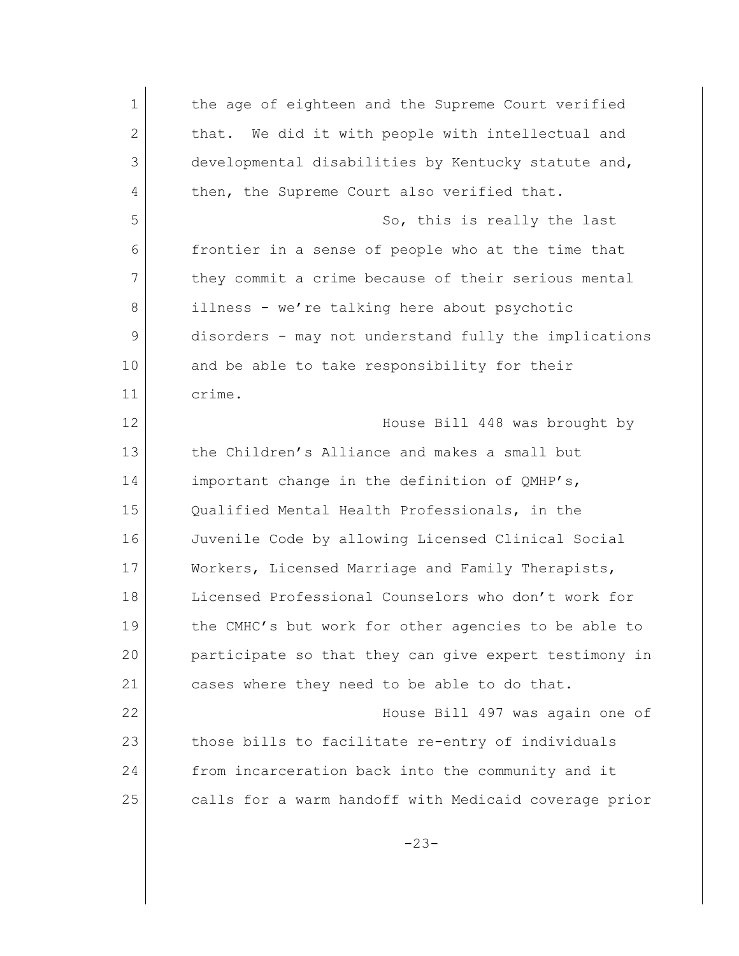1 the age of eighteen and the Supreme Court verified 2 that. We did it with people with intellectual and 3 developmental disabilities by Kentucky statute and, 4 then, the Supreme Court also verified that. 5 So, this is really the last 6 frontier in a sense of people who at the time that 7 they commit a crime because of their serious mental 8 illness - we're talking here about psychotic 9 disorders - may not understand fully the implications 10 and be able to take responsibility for their 11 crime. 12 | Mouse Bill 448 was brought by 13 the Children's Alliance and makes a small but 14 important change in the definition of QMHP's, 15 Qualified Mental Health Professionals, in the 16 Juvenile Code by allowing Licensed Clinical Social 17 Workers, Licensed Marriage and Family Therapists, 18 Licensed Professional Counselors who don't work for 19 the CMHC's but work for other agencies to be able to 20 participate so that they can give expert testimony in 21 cases where they need to be able to do that. 22 House Bill 497 was again one of 23 those bills to facilitate re-entry of individuals 24 from incarceration back into the community and it 25 calls for a warm handoff with Medicaid coverage prior -23-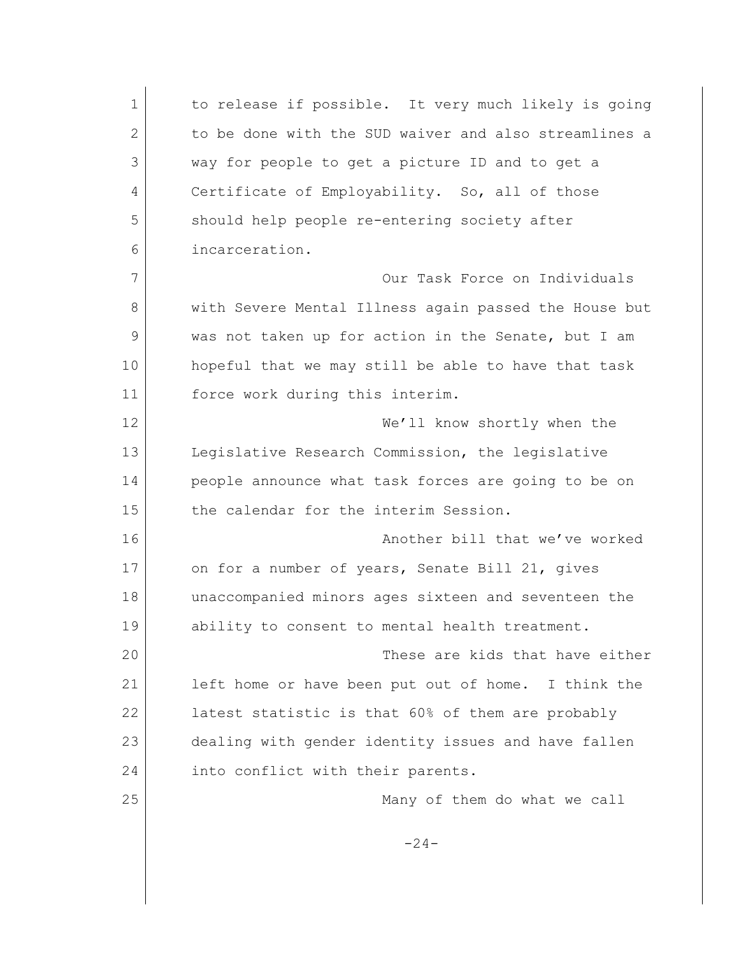1 to release if possible. It very much likely is going 2 to be done with the SUD waiver and also streamlines a 3 way for people to get a picture ID and to get a 4 Certificate of Employability. So, all of those 5 should help people re-entering society after 6 incarceration. 7 Our Task Force on Individuals 8 with Severe Mental Illness again passed the House but 9 was not taken up for action in the Senate, but I am 10 hopeful that we may still be able to have that task 11 force work during this interim. 12 We'll know shortly when the 13 Legislative Research Commission, the legislative 14 people announce what task forces are going to be on 15 the calendar for the interim Session. 16 Another bill that we've worked 17 on for a number of years, Senate Bill 21, gives 18 unaccompanied minors ages sixteen and seventeen the 19 ability to consent to mental health treatment. 20 These are kids that have either 21 left home or have been put out of home. I think the 22 latest statistic is that 60% of them are probably 23 dealing with gender identity issues and have fallen 24 into conflict with their parents. 25 Many of them do what we call  $-24-$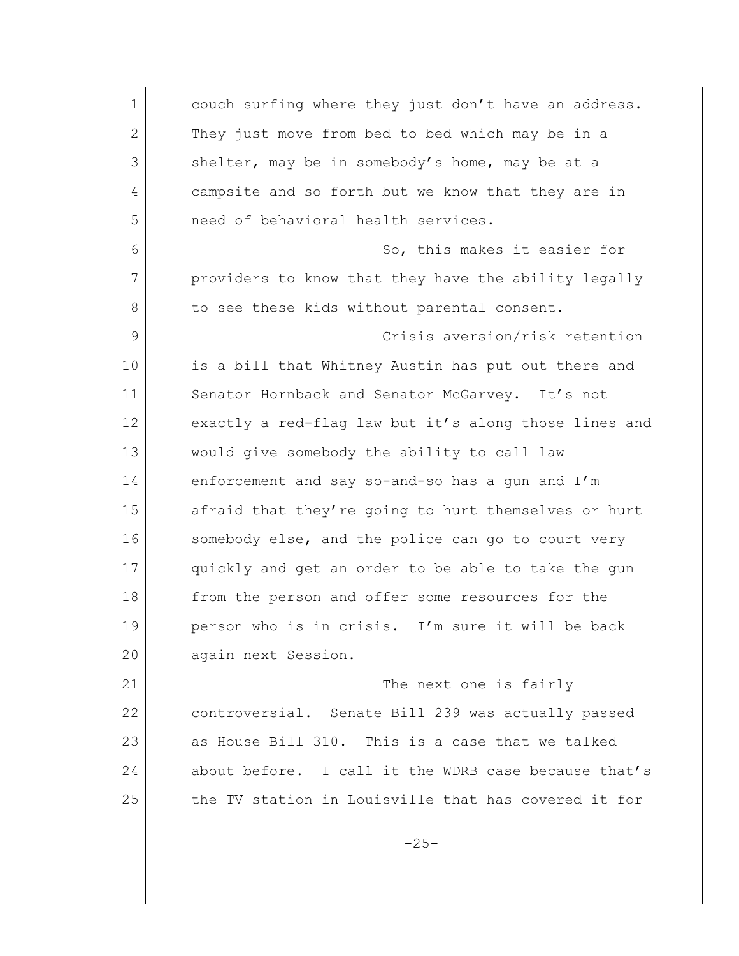1 couch surfing where they just don't have an address. 2 They just move from bed to bed which may be in a 3 shelter, may be in somebody's home, may be at a 4 campsite and so forth but we know that they are in 5 need of behavioral health services. 6 So, this makes it easier for 7 providers to know that they have the ability legally 8 to see these kids without parental consent. 9 Crisis aversion/risk retention 10 is a bill that Whitney Austin has put out there and 11 Senator Hornback and Senator McGarvey. It's not 12 exactly a red-flag law but it's along those lines and 13 would give somebody the ability to call law 14 enforcement and say so-and-so has a gun and I'm 15 afraid that they're going to hurt themselves or hurt 16 somebody else, and the police can go to court very 17 quickly and get an order to be able to take the gun 18 from the person and offer some resources for the 19 person who is in crisis. I'm sure it will be back 20 again next Session. 21 The next one is fairly 22 controversial. Senate Bill 239 was actually passed 23 as House Bill 310. This is a case that we talked 24 about before. I call it the WDRB case because that's 25 the TV station in Louisville that has covered it for

 $-25-$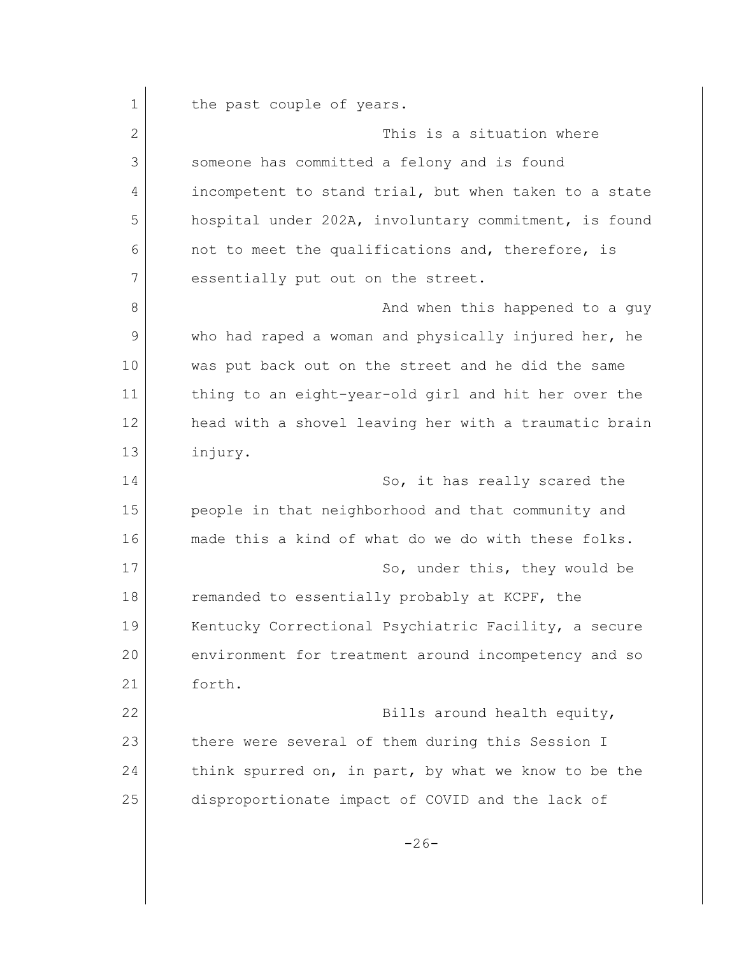1 the past couple of years. 2 2 This is a situation where 3 someone has committed a felony and is found 4 incompetent to stand trial, but when taken to a state 5 hospital under 202A, involuntary commitment, is found 6 on to meet the qualifications and, therefore, is 7 essentially put out on the street. 8 and when this happened to a guy 9 who had raped a woman and physically injured her, he 10 was put back out on the street and he did the same 11 thing to an eight-year-old girl and hit her over the 12 head with a shovel leaving her with a traumatic brain 13 injury. 14 So, it has really scared the 15 people in that neighborhood and that community and 16 made this a kind of what do we do with these folks. 17 So, under this, they would be 18 remanded to essentially probably at KCPF, the 19 Kentucky Correctional Psychiatric Facility, a secure 20 environment for treatment around incompetency and so 21 forth. 22 Bills around health equity, 23 there were several of them during this Session I 24 think spurred on, in part, by what we know to be the 25 disproportionate impact of COVID and the lack of  $-26-$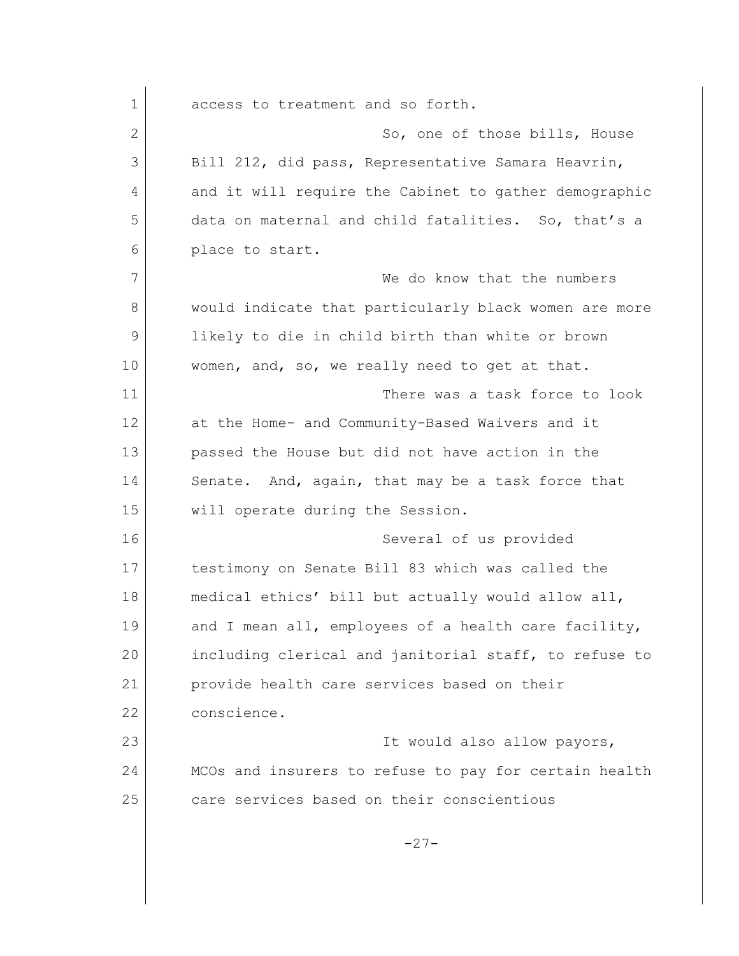1 access to treatment and so forth. 2 So, one of those bills, House 3 Bill 212, did pass, Representative Samara Heavrin, 4 and it will require the Cabinet to gather demographic 5 data on maternal and child fatalities. So, that's a 6 place to start. 7 We do know that the numbers 8 would indicate that particularly black women are more 9 likely to die in child birth than white or brown 10 women, and, so, we really need to get at that. 11 There was a task force to look 12 at the Home- and Community-Based Waivers and it 13 passed the House but did not have action in the 14 Senate. And, again, that may be a task force that 15 will operate during the Session. 16 Several of us provided 17 testimony on Senate Bill 83 which was called the 18 medical ethics' bill but actually would allow all, 19 and I mean all, employees of a health care facility, 20 including clerical and janitorial staff, to refuse to 21 provide health care services based on their 22 conscience. 23 It would also allow payors, 24 MCOs and insurers to refuse to pay for certain health 25 care services based on their conscientious -27-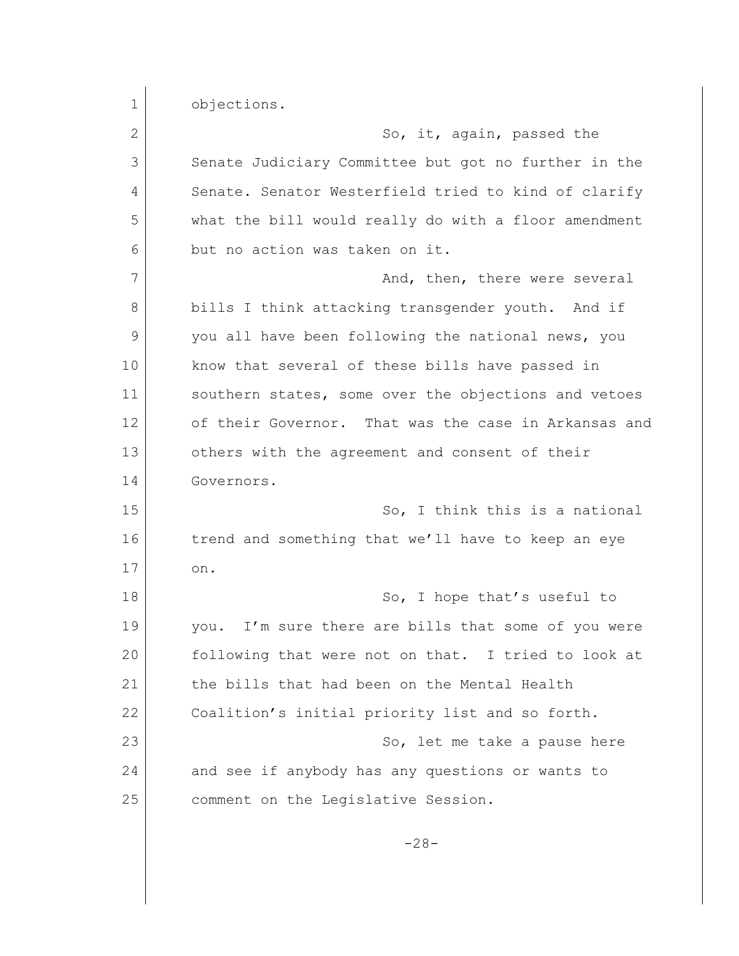1 objections. 2 So, it, again, passed the 3 Senate Judiciary Committee but got no further in the 4 Senate. Senator Westerfield tried to kind of clarify 5 what the bill would really do with a floor amendment 6 but no action was taken on it. 7 And, then, there were several 8 bills I think attacking transgender youth. And if 9 you all have been following the national news, you 10 know that several of these bills have passed in 11 southern states, some over the objections and vetoes 12 of their Governor. That was the case in Arkansas and 13 others with the agreement and consent of their 14 Governors. 15 So, I think this is a national 16 trend and something that we'll have to keep an eye  $17$  on. 18 So, I hope that's useful to 19 you. I'm sure there are bills that some of you were 20 following that were not on that. I tried to look at 21 the bills that had been on the Mental Health 22 Coalition's initial priority list and so forth. 23 So, let me take a pause here 24 and see if anybody has any questions or wants to 25 comment on the Legislative Session.

-28-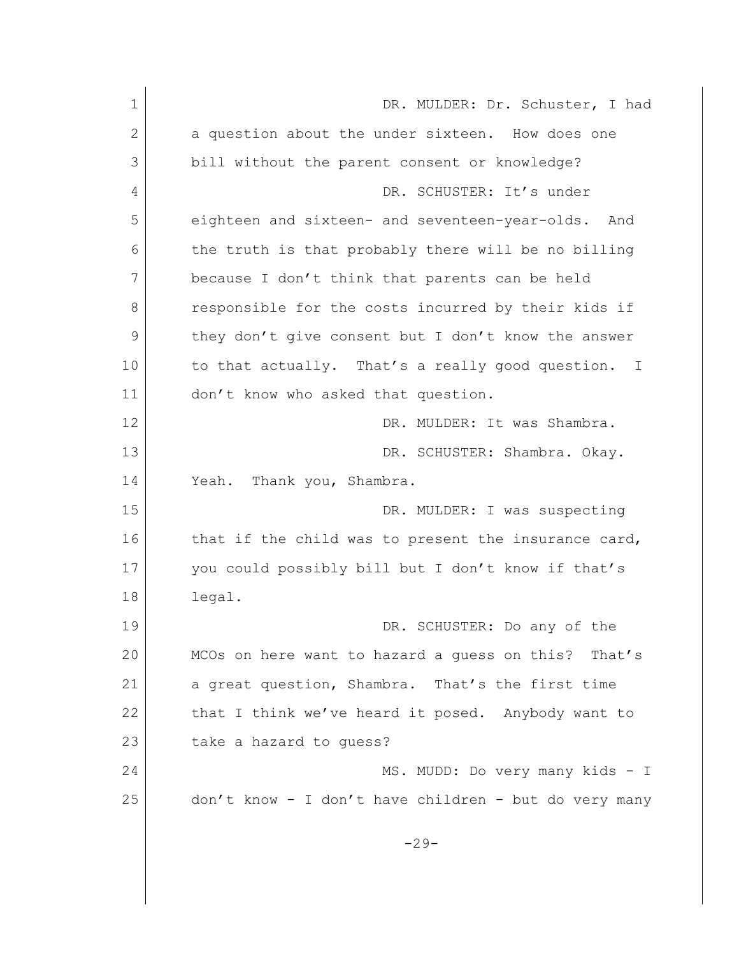| 1              | DR. MULDER: Dr. Schuster, I had                           |
|----------------|-----------------------------------------------------------|
| $\overline{2}$ | a question about the under sixteen. How does one          |
| 3              | bill without the parent consent or knowledge?             |
| 4              | DR. SCHUSTER: It's under                                  |
| 5              | eighteen and sixteen- and seventeen-year-olds.<br>And     |
| 6              | the truth is that probably there will be no billing       |
| 7              | because I don't think that parents can be held            |
| 8              | responsible for the costs incurred by their kids if       |
| 9              | they don't give consent but I don't know the answer       |
| 10             | to that actually. That's a really good question.<br>$\pm$ |
| 11             | don't know who asked that question.                       |
| 12             | DR. MULDER: It was Shambra.                               |
| 13             | DR. SCHUSTER: Shambra. Okay.                              |
| 14             | Thank you, Shambra.<br>Yeah.                              |
| 15             | DR. MULDER: I was suspecting                              |
| 16             | that if the child was to present the insurance card,      |
| 17             | you could possibly bill but I don't know if that's        |
| 18             | legal.                                                    |
| 19             | DR. SCHUSTER: Do any of the                               |
| 20             | MCOs on here want to hazard a guess on this? That's       |
| 21             | a great question, Shambra. That's the first time          |
| 22             | that I think we've heard it posed. Anybody want to        |
| 23             | take a hazard to guess?                                   |
| 24             | MS. MUDD: Do very many kids - I                           |
| 25             | don't know - I don't have children - but do very many     |
|                | $-29-$                                                    |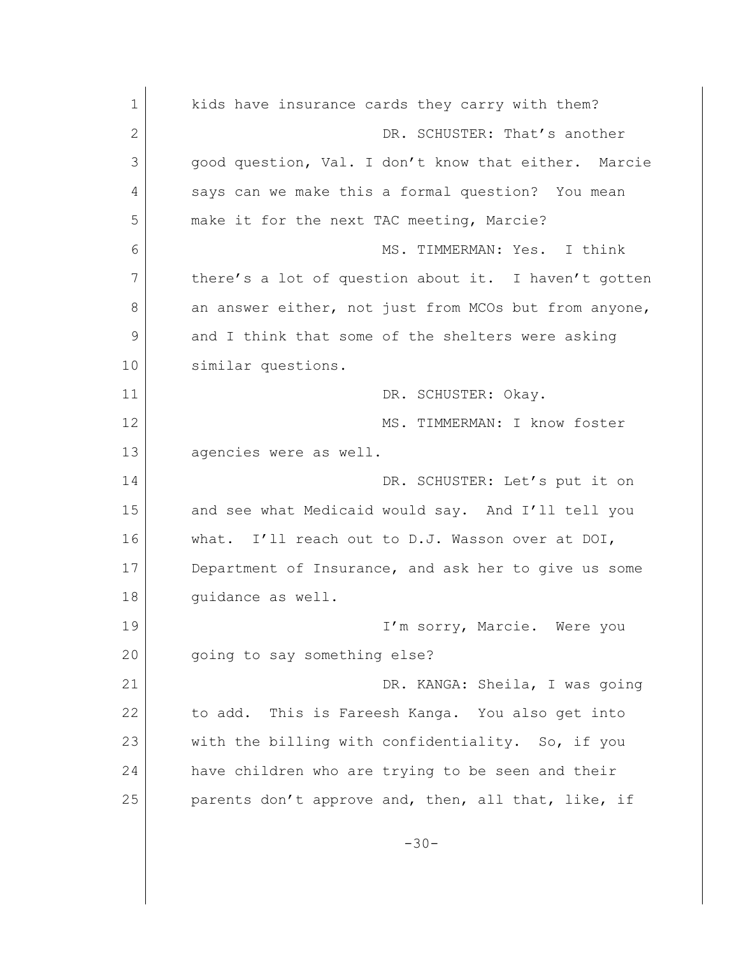| $\mathbf 1$  | kids have insurance cards they carry with them?       |
|--------------|-------------------------------------------------------|
| $\mathbf{2}$ | DR. SCHUSTER: That's another                          |
| 3            | good question, Val. I don't know that either. Marcie  |
| 4            | says can we make this a formal question? You mean     |
| 5            | make it for the next TAC meeting, Marcie?             |
| 6            | MS. TIMMERMAN: Yes. I think                           |
| 7            | there's a lot of question about it. I haven't gotten  |
| 8            | an answer either, not just from MCOs but from anyone, |
| 9            | and I think that some of the shelters were asking     |
| 10           | similar questions.                                    |
| 11           | DR. SCHUSTER: Okay.                                   |
| 12           | MS. TIMMERMAN: I know foster                          |
| 13           | agencies were as well.                                |
| 14           | DR. SCHUSTER: Let's put it on                         |
| 15           | and see what Medicaid would say. And I'll tell you    |
| 16           | what. I'll reach out to D.J. Wasson over at DOI,      |
| 17           | Department of Insurance, and ask her to give us some  |
| 18           | quidance as well.                                     |
| 19           | I'm sorry, Marcie. Were you                           |
| 20           | going to say something else?                          |
| 21           | DR. KANGA: Sheila, I was going                        |
| 22           | to add. This is Fareesh Kanga. You also get into      |
| 23           | with the billing with confidentiality. So, if you     |
| 24           | have children who are trying to be seen and their     |
| 25           | parents don't approve and, then, all that, like, if   |
|              | $-30-$                                                |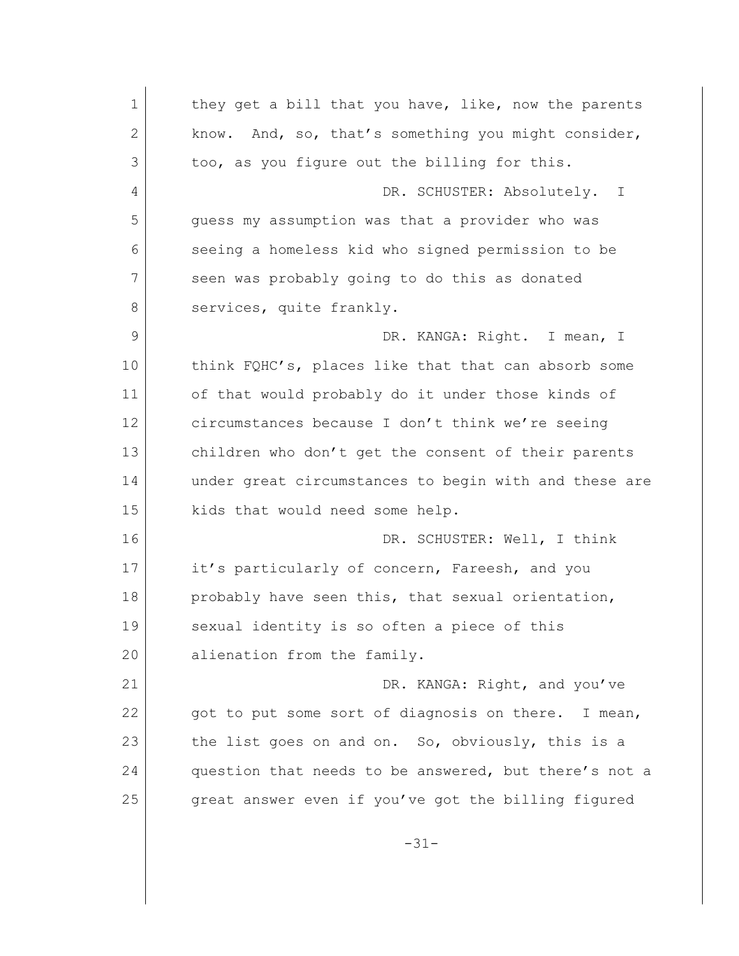1 they get a bill that you have, like, now the parents 2 know. And, so, that's something you might consider, 3 too, as you figure out the billing for this. 4 DR. SCHUSTER: Absolutely. I 5 guess my assumption was that a provider who was 6 seeing a homeless kid who signed permission to be 7 seen was probably going to do this as donated 8 services, quite frankly. 9 DR. KANGA: Right. I mean, I 10 think FQHC's, places like that that can absorb some 11 of that would probably do it under those kinds of 12 circumstances because I don't think we're seeing 13 children who don't get the consent of their parents 14 under great circumstances to begin with and these are 15 kids that would need some help. 16 DR. SCHUSTER: Well, I think 17 it's particularly of concern, Fareesh, and you 18 probably have seen this, that sexual orientation, 19 Sexual identity is so often a piece of this 20 alienation from the family. 21 DR. KANGA: Right, and you've 22 got to put some sort of diagnosis on there. I mean, 23 the list goes on and on. So, obviously, this is a 24 question that needs to be answered, but there's not a 25 great answer even if you've got the billing figured -31-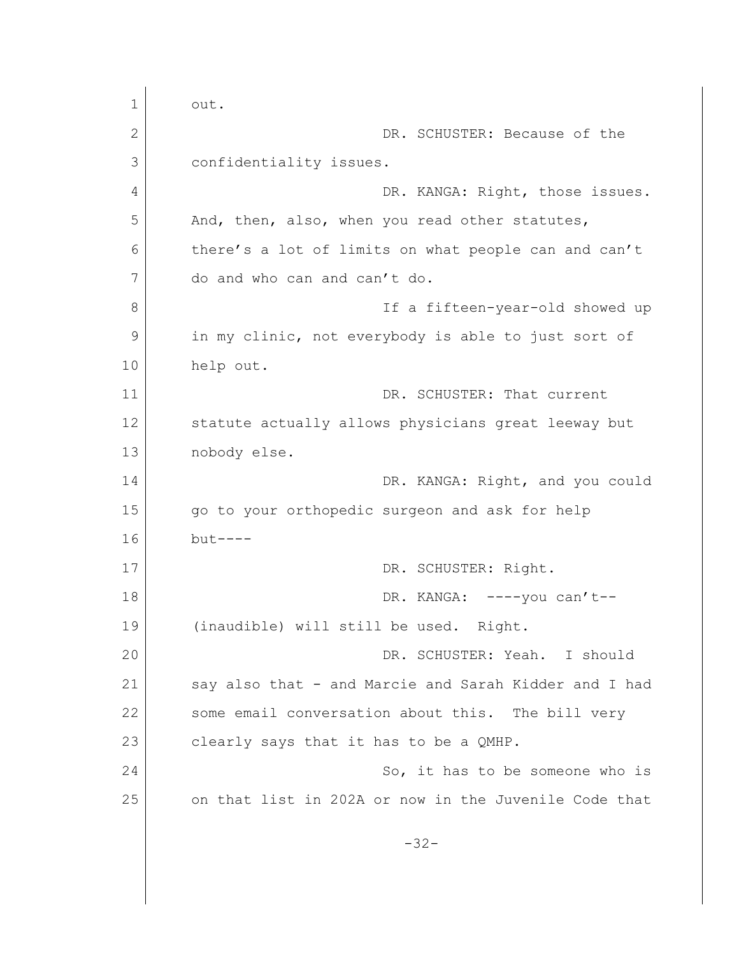1 out. 2 DR. SCHUSTER: Because of the 3 confidentiality issues. 4 DR. KANGA: Right, those issues. 5 And, then, also, when you read other statutes, 6 there's a lot of limits on what people can and can't 7 do and who can and can't do. 8 a fifteen-year-old showed up 9 in my clinic, not everybody is able to just sort of 10 help out. 11 DR. SCHUSTER: That current 12 Statute actually allows physicians great leeway but 13 nobody else. 14 DR. KANGA: Right, and you could 15 go to your orthopedic surgeon and ask for help 16 but---- 17 DR. SCHUSTER: Right. 18 DR. KANGA: ----you can't--19 (inaudible) will still be used. Right. 20 DR. SCHUSTER: Yeah. I should 21 Say also that - and Marcie and Sarah Kidder and I had 22 Some email conversation about this. The bill very 23 clearly says that it has to be a QMHP. 24 So, it has to be someone who is 25 on that list in 202A or now in the Juvenile Code that -32-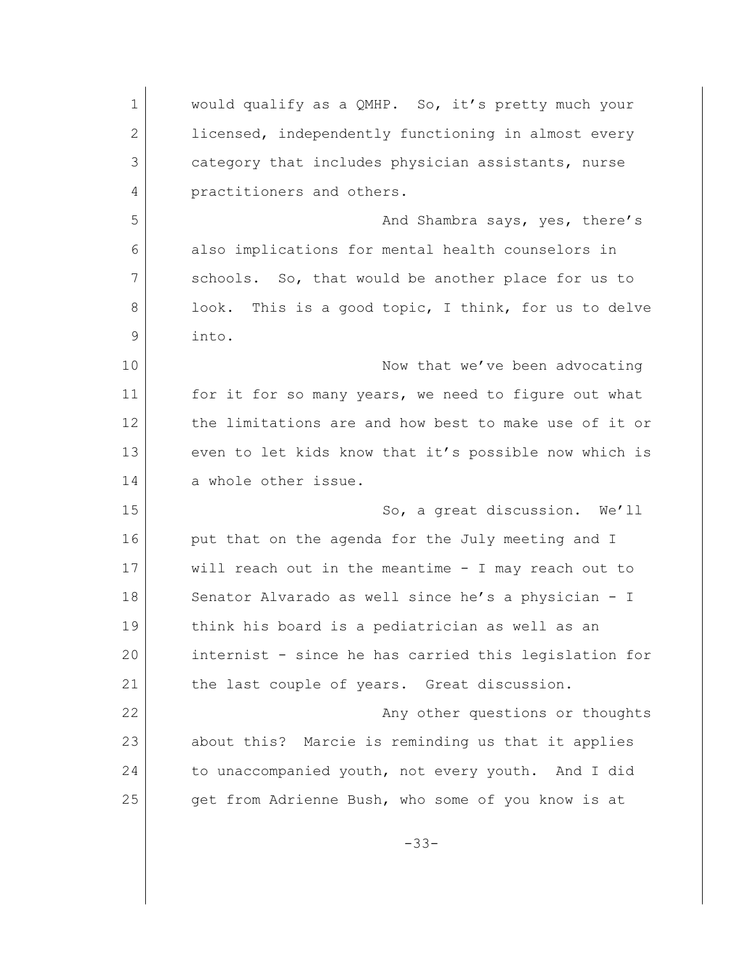| $\mathbf 1$  | would qualify as a QMHP. So, it's pretty much your      |
|--------------|---------------------------------------------------------|
| $\mathbf{2}$ | licensed, independently functioning in almost every     |
| 3            | category that includes physician assistants, nurse      |
| 4            | practitioners and others.                               |
| 5            | And Shambra says, yes, there's                          |
| 6            | also implications for mental health counselors in       |
| 7            | schools. So, that would be another place for us to      |
| 8            | This is a good topic, I think, for us to delve<br>look. |
| 9            | into.                                                   |
| 10           | Now that we've been advocating                          |
| 11           | for it for so many years, we need to figure out what    |
| 12           | the limitations are and how best to make use of it or   |
| 13           | even to let kids know that it's possible now which is   |
| 14           | a whole other issue.                                    |
| 15           | So, a great discussion. We'll                           |
| 16           | put that on the agenda for the July meeting and I       |
| 17           | will reach out in the meantime - I may reach out to     |
| 18           | Senator Alvarado as well since he's a physician - I     |
| 19           | think his board is a pediatrician as well as an         |
| 20           | internist - since he has carried this legislation for   |
| 21           | the last couple of years. Great discussion.             |
| 22           | Any other questions or thoughts                         |
| 23           | about this? Marcie is reminding us that it applies      |
| 24           | to unaccompanied youth, not every youth. And I did      |
| 25           | get from Adrienne Bush, who some of you know is at      |
|              | $-33-$                                                  |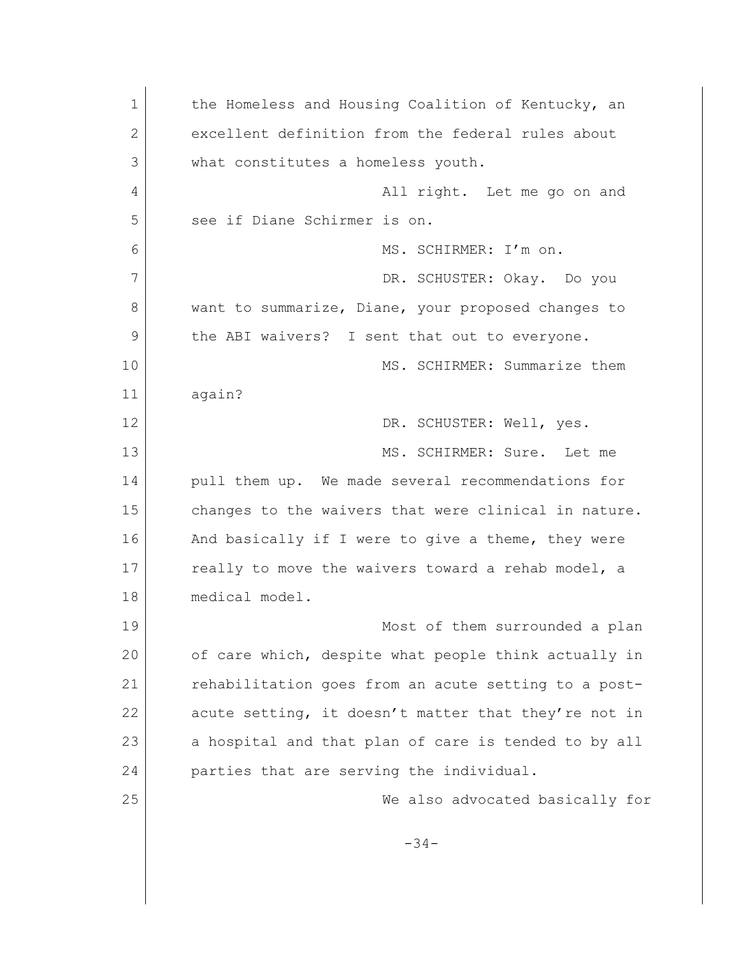| $\mathbf 1$ | the Homeless and Housing Coalition of Kentucky, an   |
|-------------|------------------------------------------------------|
| 2           | excellent definition from the federal rules about    |
| 3           | what constitutes a homeless youth.                   |
| 4           | All right. Let me go on and                          |
| 5           | see if Diane Schirmer is on.                         |
| 6           | MS. SCHIRMER: I'm on.                                |
| 7           | DR. SCHUSTER: Okay. Do you                           |
| 8           | want to summarize, Diane, your proposed changes to   |
| 9           | the ABI waivers? I sent that out to everyone.        |
| 10          | MS. SCHIRMER: Summarize them                         |
| 11          | again?                                               |
| 12          | DR. SCHUSTER: Well, yes.                             |
| 13          | MS. SCHIRMER: Sure. Let me                           |
| 14          | pull them up. We made several recommendations for    |
| 15          | changes to the waivers that were clinical in nature. |
| 16          | And basically if I were to give a theme, they were   |
| 17          | really to move the waivers toward a rehab model, a   |
| 18          | medical model.                                       |
| 19          | Most of them surrounded a plan                       |
| 20          | of care which, despite what people think actually in |
| 21          | rehabilitation goes from an acute setting to a post- |
| 22          | acute setting, it doesn't matter that they're not in |
| 23          | a hospital and that plan of care is tended to by all |
| 24          | parties that are serving the individual.             |
| 25          | We also advocated basically for                      |
|             |                                                      |
|             | $-34-$                                               |
|             |                                                      |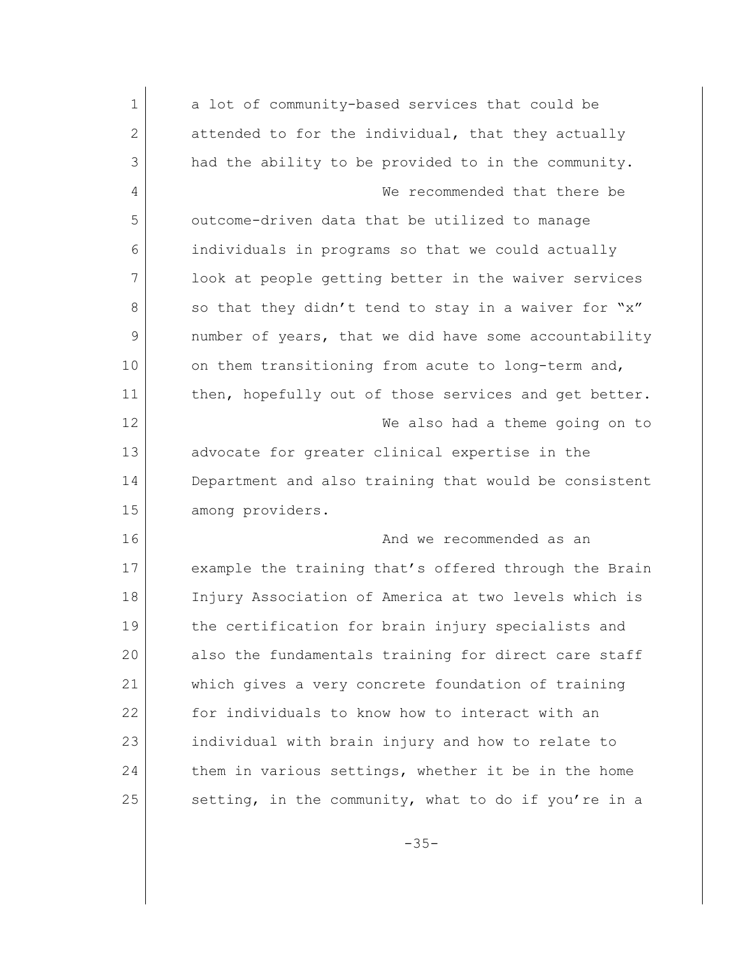| $\mathbf 1$  | a lot of community-based services that could be       |
|--------------|-------------------------------------------------------|
| $\mathbf{2}$ | attended to for the individual, that they actually    |
| 3            | had the ability to be provided to in the community.   |
| 4            | We recommended that there be                          |
| 5            | outcome-driven data that be utilized to manage        |
| 6            | individuals in programs so that we could actually     |
| 7            | look at people getting better in the waiver services  |
| 8            | so that they didn't tend to stay in a waiver for "x"  |
| 9            | number of years, that we did have some accountability |
| 10           | on them transitioning from acute to long-term and,    |
| 11           | then, hopefully out of those services and get better. |
| 12           | We also had a theme going on to                       |
| 13           | advocate for greater clinical expertise in the        |
| 14           | Department and also training that would be consistent |
| 15           | among providers.                                      |
| 16           | And we recommended as an                              |
| 17           | example the training that's offered through the Brain |
| 18           | Injury Association of America at two levels which is  |
| 19           | the certification for brain injury specialists and    |
| 20           | also the fundamentals training for direct care staff  |
| 21           | which gives a very concrete foundation of training    |
| 22           | for individuals to know how to interact with an       |
| 23           | individual with brain injury and how to relate to     |
| 24           | them in various settings, whether it be in the home   |
| 25           | setting, in the community, what to do if you're in a  |

-35-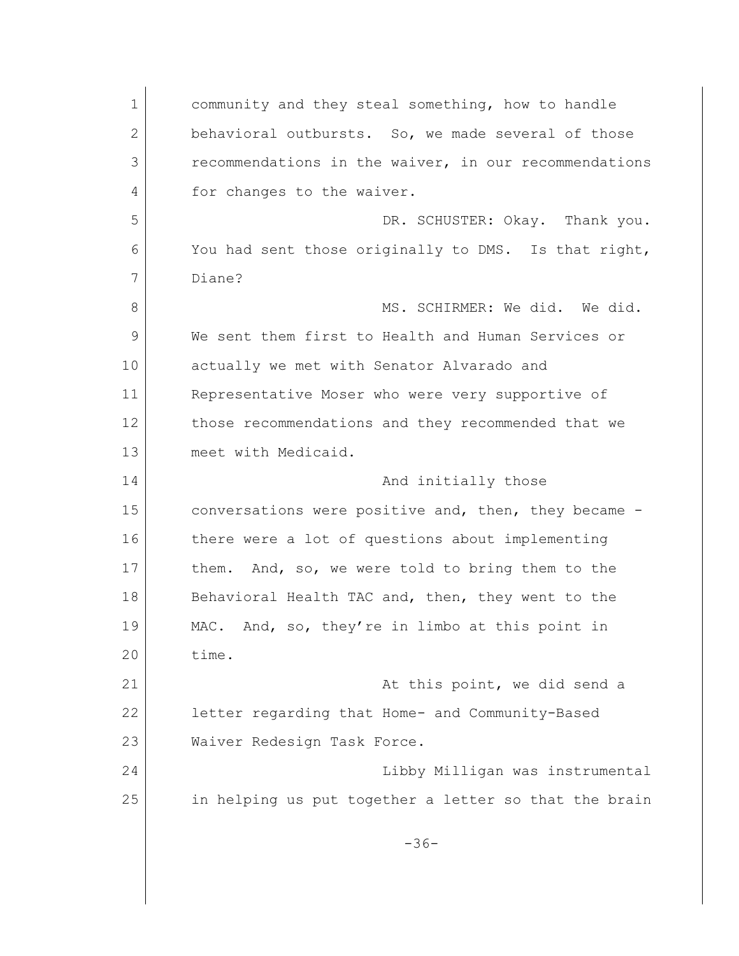1 community and they steal something, how to handle 2 behavioral outbursts. So, we made several of those 3 recommendations in the waiver, in our recommendations 4 for changes to the waiver. 5 DR. SCHUSTER: Okay. Thank you. 6 You had sent those originally to DMS. Is that right, 7 Diane? 8 MS. SCHIRMER: We did. We did. 9 We sent them first to Health and Human Services or 10 actually we met with Senator Alvarado and 11 Representative Moser who were very supportive of 12 | those recommendations and they recommended that we 13 meet with Medicaid. 14 And initially those 15 conversations were positive and, then, they became -16 there were a lot of questions about implementing 17 them. And, so, we were told to bring them to the 18 Behavioral Health TAC and, then, they went to the 19 MAC. And, so, they're in limbo at this point in 20 time. 21 at this point, we did send a 22 letter regarding that Home- and Community-Based 23 Waiver Redesign Task Force. 24 Libby Milligan was instrumental 25 in helping us put together a letter so that the brain -36-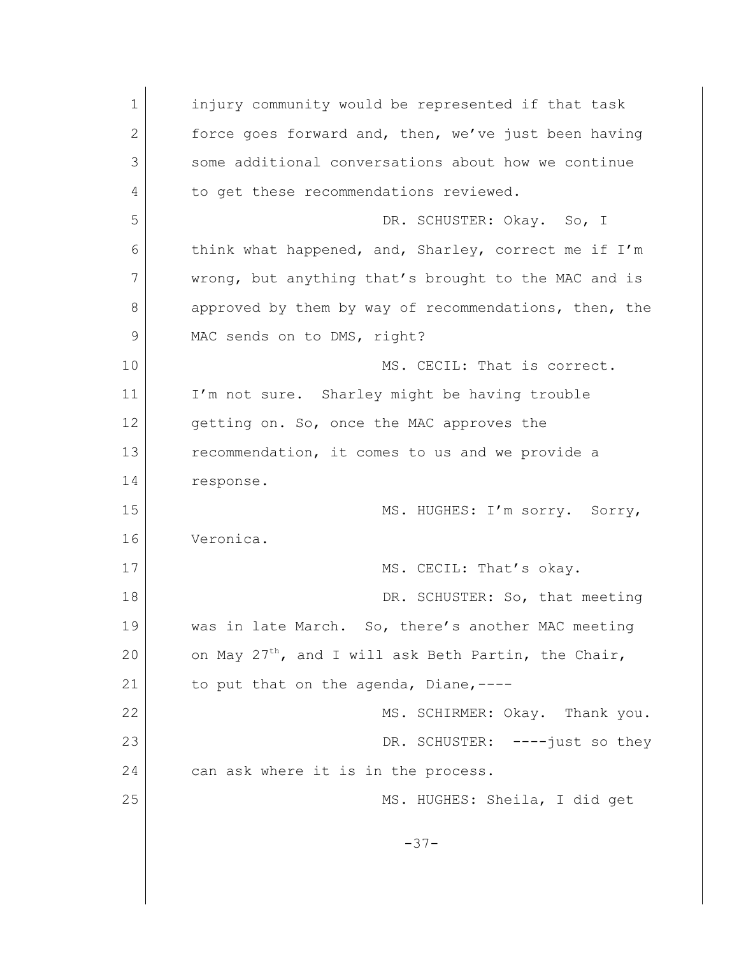1 injury community would be represented if that task 2 force goes forward and, then, we've just been having 3 some additional conversations about how we continue 4 to get these recommendations reviewed. 5 DR. SCHUSTER: Okay. So, I 6 think what happened, and, Sharley, correct me if I'm 7 wrong, but anything that's brought to the MAC and is 8 approved by them by way of recommendations, then, the 9 MAC sends on to DMS, right? 10 MS. CECIL: That is correct. 11 I'm not sure. Sharley might be having trouble 12 getting on. So, once the MAC approves the 13 recommendation, it comes to us and we provide a 14 response. 15 MS. HUGHES: I'm sorry. Sorry, 16 Veronica. 17 MS. CECIL: That's okay. 18 DR. SCHUSTER: So, that meeting 19 was in late March. So, there's another MAC meeting 20 on May  $27^{th}$ , and I will ask Beth Partin, the Chair, 21 to put that on the agenda, Diane,----22 MS. SCHIRMER: Okay. Thank you. 23 DR. SCHUSTER: ----just so they 24 can ask where it is in the process. 25 MS. HUGHES: Sheila, I did get -37-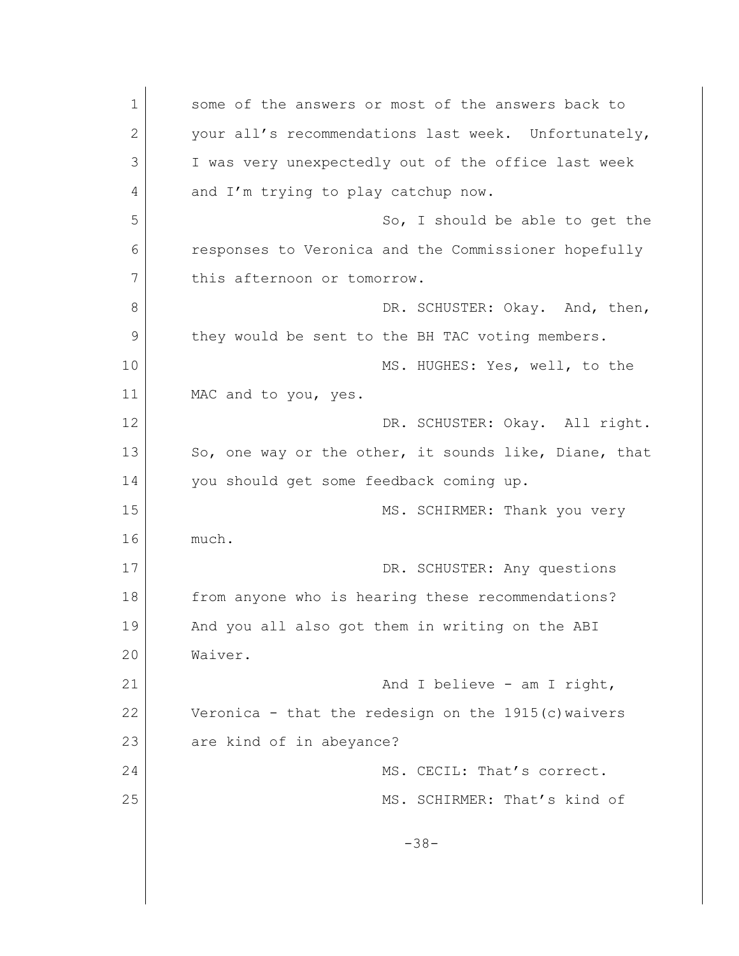1 some of the answers or most of the answers back to 2 your all's recommendations last week. Unfortunately, 3 I was very unexpectedly out of the office last week 4 and I'm trying to play catchup now. 5 So, I should be able to get the 6 responses to Veronica and the Commissioner hopefully 7 this afternoon or tomorrow. 8 DR. SCHUSTER: Okay. And, then, 9 they would be sent to the BH TAC voting members. 10 MS. HUGHES: Yes, well, to the 11 MAC and to you, yes. 12 DR. SCHUSTER: Okay. All right. 13 So, one way or the other, it sounds like, Diane, that 14 you should get some feedback coming up. 15 MS. SCHIRMER: Thank you very 16 much. 17 DR. SCHUSTER: Any questions 18 from anyone who is hearing these recommendations? 19 And you all also got them in writing on the ABI 20 Waiver. 21 And I believe - am I right, 22 Veronica - that the redesign on the 1915(c)waivers 23 are kind of in abeyance? 24 MS. CECIL: That's correct. 25 MS. SCHIRMER: That's kind of -38-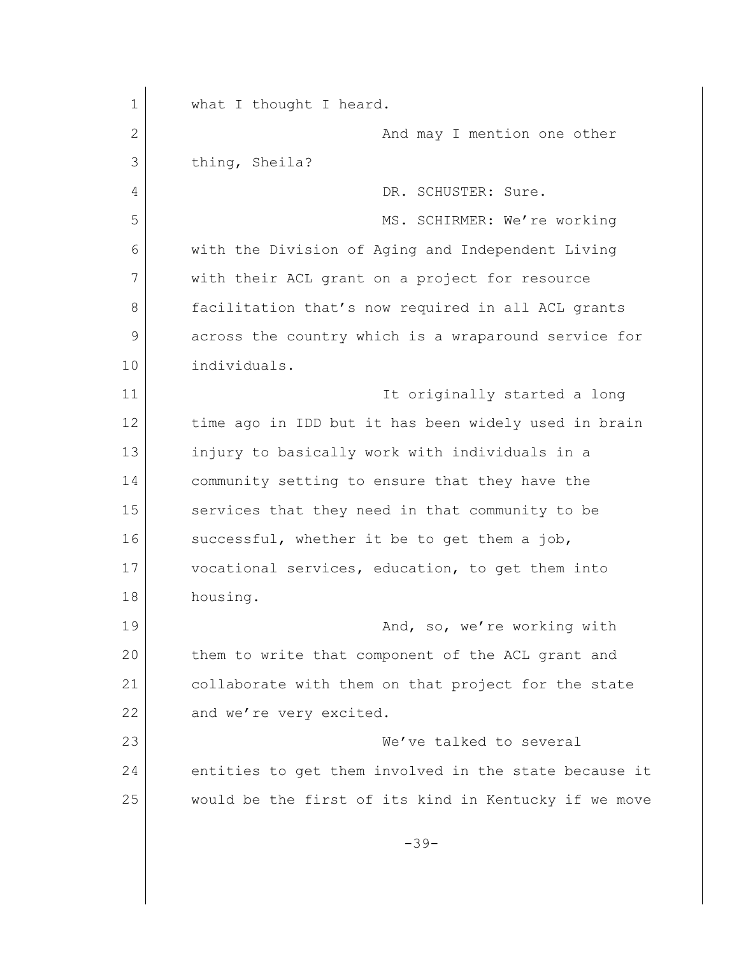1 what I thought I heard. 2 and may I mention one other 3 thing, Sheila? 4 DR. SCHUSTER: Sure. 5 MS. SCHIRMER: We're working 6 with the Division of Aging and Independent Living 7 with their ACL grant on a project for resource 8 facilitation that's now required in all ACL grants 9 across the country which is a wraparound service for 10 individuals. 11 **It originally started a long** 12 time ago in IDD but it has been widely used in brain 13 injury to basically work with individuals in a 14 community setting to ensure that they have the 15 services that they need in that community to be 16 successful, whether it be to get them a job, 17 vocational services, education, to get them into 18 housing. 19 And, so, we're working with 20 them to write that component of the ACL grant and 21 collaborate with them on that project for the state 22 and we're very excited. 23 We've talked to several 24 entities to get them involved in the state because it 25 would be the first of its kind in Kentucky if we move -39-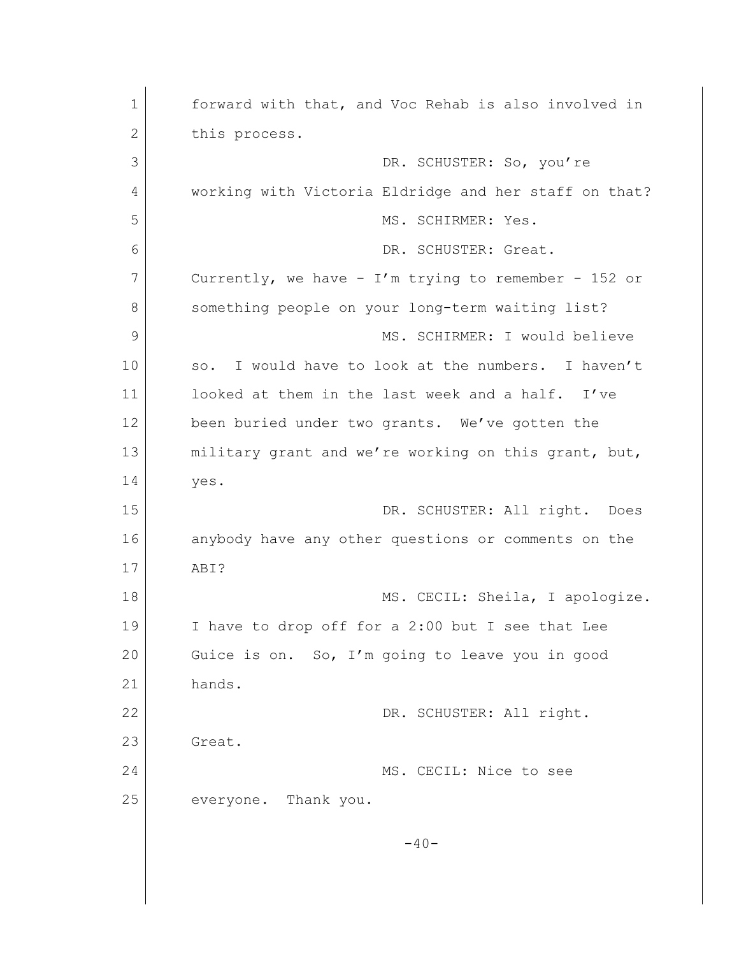1 forward with that, and Voc Rehab is also involved in 2 this process. 3 DR. SCHUSTER: So, you're 4 working with Victoria Eldridge and her staff on that? 5 MS. SCHIRMER: Yes. 6 DR. SCHUSTER: Great. 7 Currently, we have - I'm trying to remember - 152 or 8 something people on your long-term waiting list? 9 MS. SCHIRMER: I would believe 10 so. I would have to look at the numbers. I haven't 11 looked at them in the last week and a half. I've 12 been buried under two grants. We've gotten the 13 military grant and we're working on this grant, but, 14 yes. 15 DR. SCHUSTER: All right. Does 16 anybody have any other questions or comments on the 17 ABI? 18 MS. CECIL: Sheila, I apologize. 19 I have to drop off for a 2:00 but I see that Lee 20 Guice is on. So, I'm going to leave you in good 21 hands. 22 DR. SCHUSTER: All right. 23 Great. 24 MS. CECIL: Nice to see 25 everyone. Thank you.  $-40-$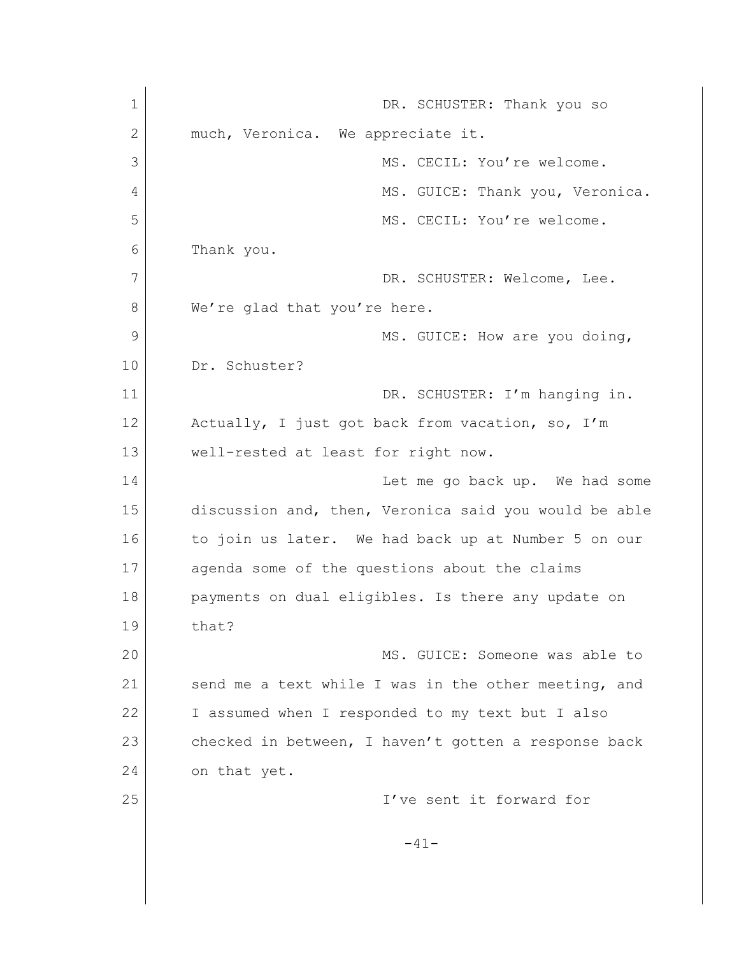1 DR. SCHUSTER: Thank you so 2 much, Veronica. We appreciate it. 3 MS. CECIL: You're welcome. 4 MS. GUICE: Thank you, Veronica. 5 MS. CECIL: You're welcome. 6 Thank you. 7 DR. SCHUSTER: Welcome, Lee. 8 We're glad that you're here. 9 MS. GUICE: How are you doing, 10 Dr. Schuster? 11 DR. SCHUSTER: I'm hanging in. 12 Actually, I just got back from vacation, so, I'm 13 | well-rested at least for right now. 14 Let me go back up. We had some 15 discussion and, then, Veronica said you would be able 16 to join us later. We had back up at Number 5 on our 17 agenda some of the questions about the claims 18 payments on dual eligibles. Is there any update on 19 that? 20 MS. GUICE: Someone was able to 21 Send me a text while I was in the other meeting, and 22 I assumed when I responded to my text but I also 23 checked in between, I haven't gotten a response back 24 on that yet. 25 I've sent it forward for -41-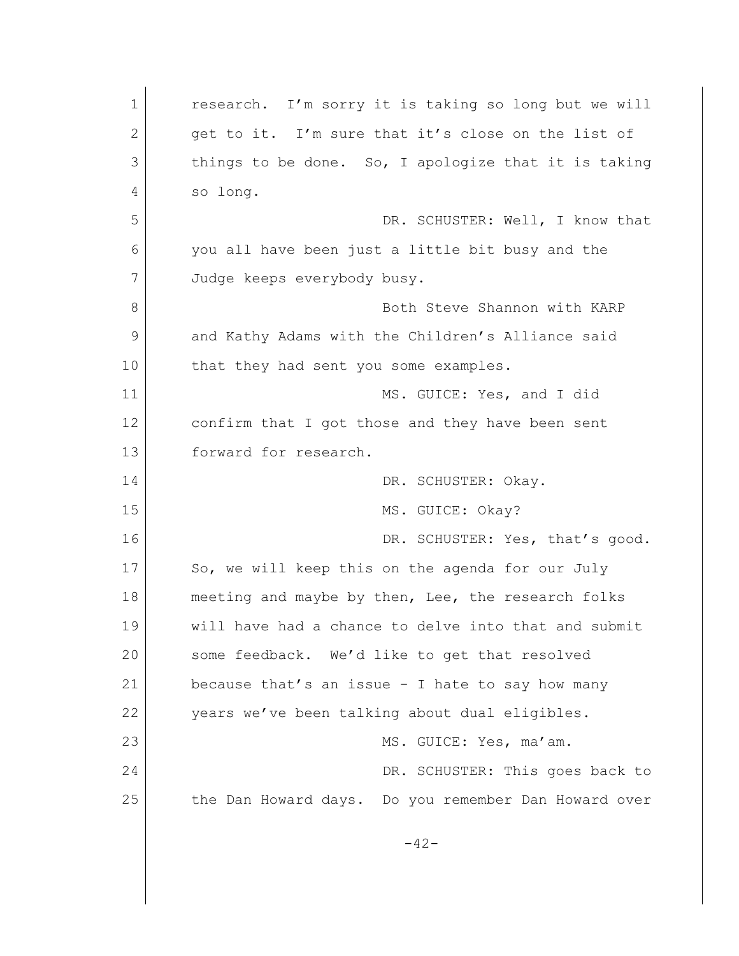1 research. I'm sorry it is taking so long but we will 2 get to it. I'm sure that it's close on the list of 3 things to be done. So, I apologize that it is taking 4 so long. 5 DR. SCHUSTER: Well, I know that 6 you all have been just a little bit busy and the 7 Judge keeps everybody busy. 8 **Both Steve Shannon with KARP** 9 and Kathy Adams with the Children's Alliance said 10 that they had sent you some examples. 11 MS. GUICE: Yes, and I did 12 confirm that I got those and they have been sent 13 forward for research. 14 DR. SCHUSTER: Okav. 15 MS. GUICE: Okay? 16 DR. SCHUSTER: Yes, that's good. 17 So, we will keep this on the agenda for our July 18 meeting and maybe by then, Lee, the research folks 19 will have had a chance to delve into that and submit 20 some feedback. We'd like to get that resolved 21 because that's an issue - I hate to say how many 22 years we've been talking about dual eligibles. 23 | MS. GUICE: Yes, ma'am. 24 DR. SCHUSTER: This goes back to 25 the Dan Howard days. Do you remember Dan Howard over  $-42-$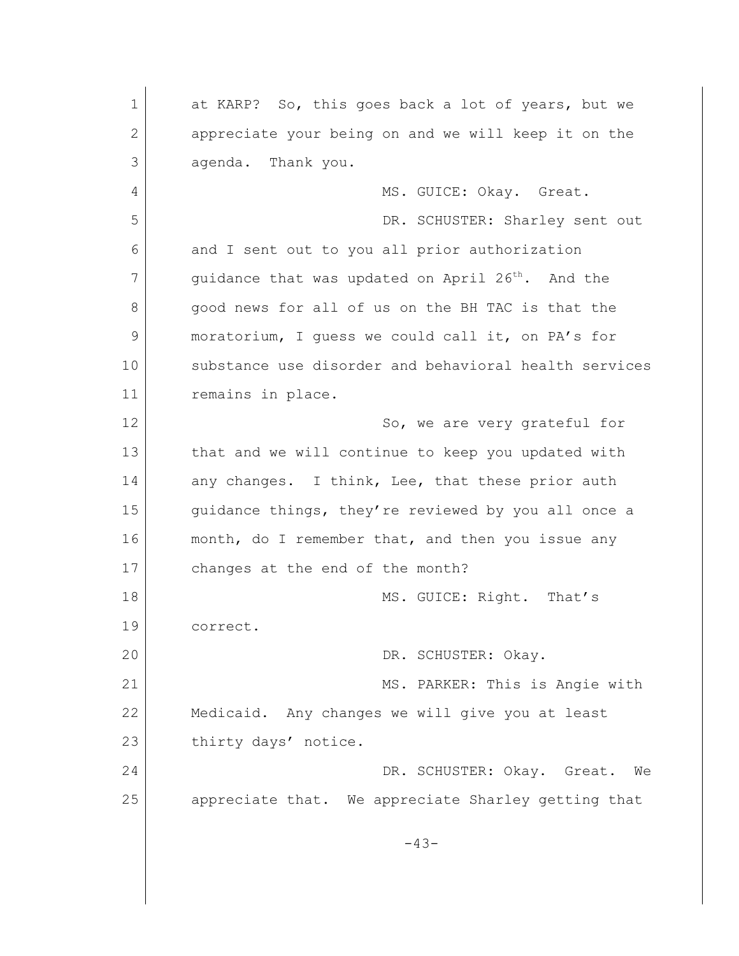1 at KARP? So, this goes back a lot of years, but we 2 appreciate your being on and we will keep it on the 3 agenda. Thank you. 4 MS. GUICE: Okay. Great. 5 DR. SCHUSTER: Sharley sent out 6 and I sent out to you all prior authorization 7 guidance that was updated on April 26<sup>th</sup>. And the 8 good news for all of us on the BH TAC is that the 9 moratorium, I guess we could call it, on PA's for 10 substance use disorder and behavioral health services 11 remains in place. 12 So, we are very grateful for 13 that and we will continue to keep you updated with 14 any changes. I think, Lee, that these prior auth 15 | guidance things, they're reviewed by you all once a 16 month, do I remember that, and then you issue any 17 changes at the end of the month? 18 MS. GUICE: Right. That's 19 correct. 20 DR. SCHUSTER: Okay. 21 MS. PARKER: This is Angie with 22 Medicaid. Any changes we will give you at least 23 thirty days' notice. 24 DR. SCHUSTER: Okay. Great. We 25 appreciate that. We appreciate Sharley getting that -43-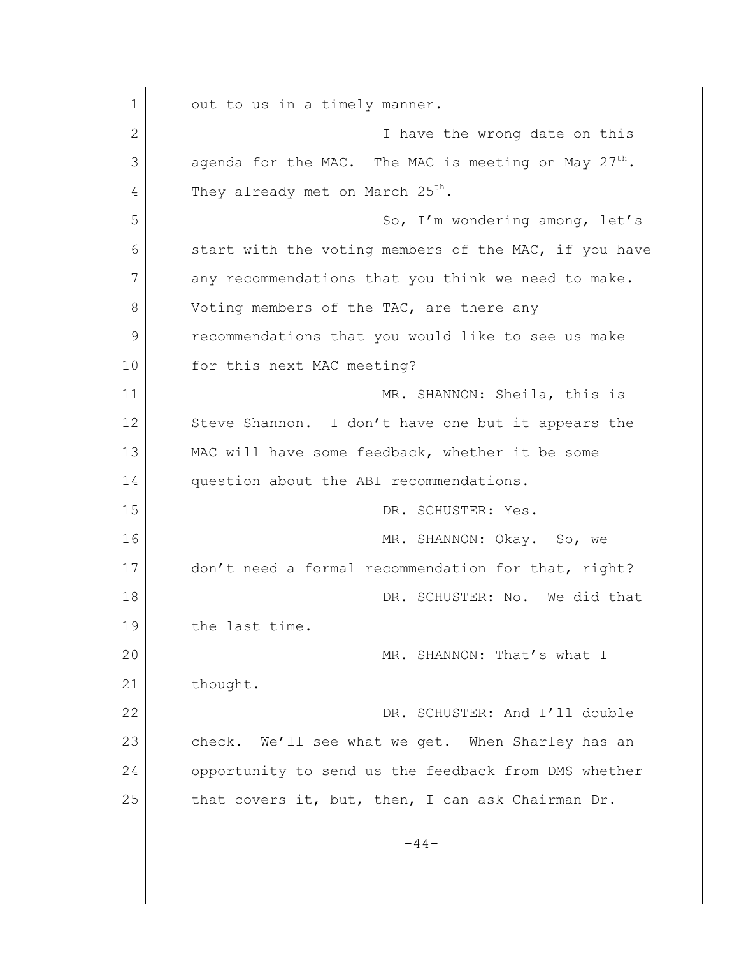1 out to us in a timely manner. 2 I have the wrong date on this  $3$  agenda for the MAC. The MAC is meeting on May 27<sup>th</sup>.  $4$  They already met on March 25<sup>th</sup>. 5 So, I'm wondering among, let's 6 start with the voting members of the MAC, if you have 7 any recommendations that you think we need to make. 8 Voting members of the TAC, are there any 9 recommendations that you would like to see us make 10 for this next MAC meeting? 11 MR. SHANNON: Sheila, this is 12 Steve Shannon. I don't have one but it appears the 13 MAC will have some feedback, whether it be some 14 question about the ABI recommendations. 15 DR. SCHUSTER: Yes. 16 MR. SHANNON: Okay. So, we 17 don't need a formal recommendation for that, right? 18 DR. SCHUSTER: No. We did that 19 the last time. 20 MR. SHANNON: That's what I 21 thought. 22 DR. SCHUSTER: And I'll double 23 check. We'll see what we get. When Sharley has an 24 opportunity to send us the feedback from DMS whether 25 that covers it, but, then, I can ask Chairman Dr.  $-44-$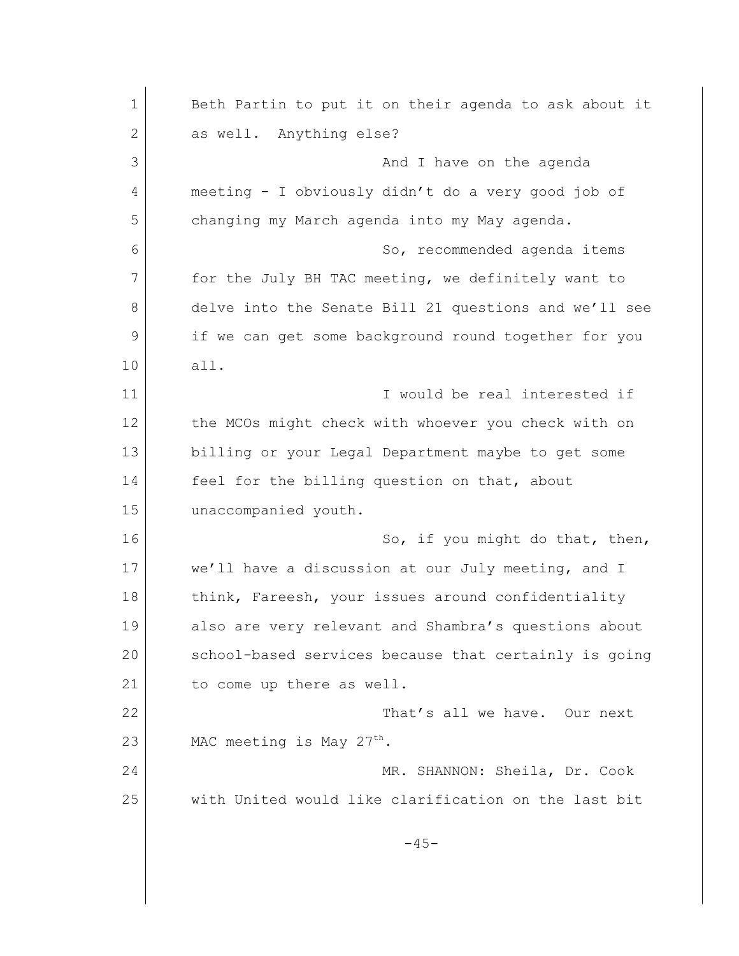1 Beth Partin to put it on their agenda to ask about it 2 as well. Anything else? 3 and I have on the agenda 4 meeting - I obviously didn't do a very good job of 5 changing my March agenda into my May agenda. 6 So, recommended agenda items 7 for the July BH TAC meeting, we definitely want to 8 delve into the Senate Bill 21 questions and we'll see 9 if we can get some background round together for you 10 all. 11 I would be real interested if 12 the MCOs might check with whoever you check with on 13 billing or your Legal Department maybe to get some 14 feel for the billing question on that, about 15 unaccompanied youth. 16 So, if you might do that, then, 17 we'll have a discussion at our July meeting, and I 18 think, Fareesh, your issues around confidentiality 19 also are very relevant and Shambra's questions about 20 school-based services because that certainly is going 21 to come up there as well. 22 That's all we have. Our next 23 MAC meeting is May  $27<sup>th</sup>$ . 24 MR. SHANNON: Sheila, Dr. Cook 25 with United would like clarification on the last bit  $-45-$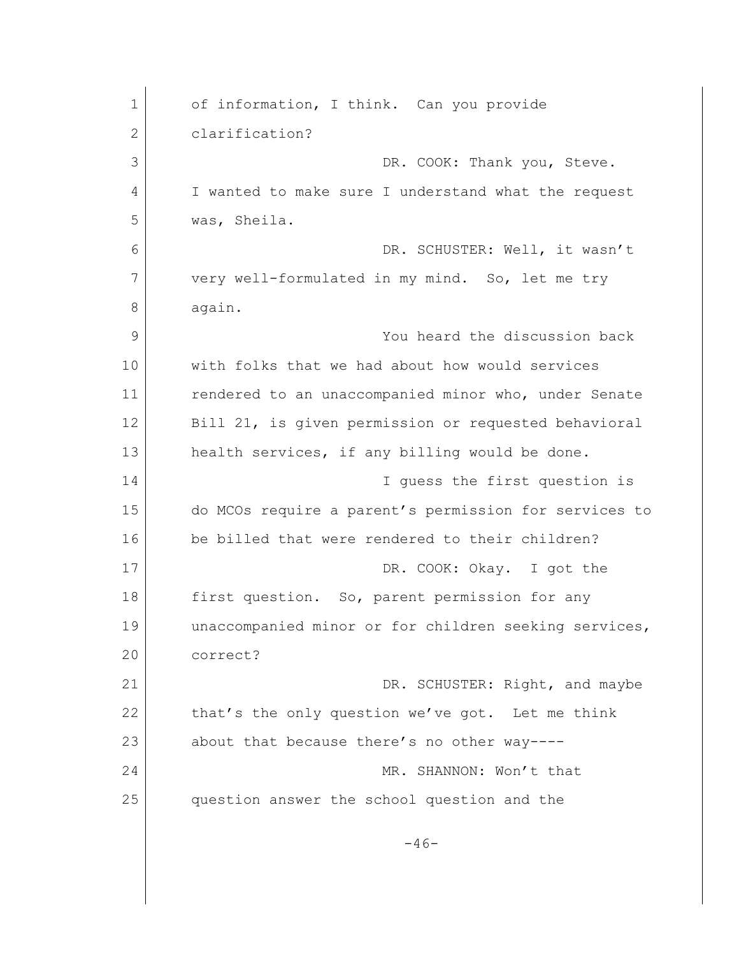| $\mathbf 1$ | of information, I think. Can you provide              |
|-------------|-------------------------------------------------------|
| 2           | clarification?                                        |
| 3           | DR. COOK: Thank you, Steve.                           |
| 4           | I wanted to make sure I understand what the request   |
| 5           | was, Sheila.                                          |
| 6           | DR. SCHUSTER: Well, it wasn't                         |
| 7           | very well-formulated in my mind. So, let me try       |
| 8           | again.                                                |
| 9           | You heard the discussion back                         |
| 10          | with folks that we had about how would services       |
| 11          | rendered to an unaccompanied minor who, under Senate  |
| 12          | Bill 21, is given permission or requested behavioral  |
| 13          | health services, if any billing would be done.        |
| 14          | I quess the first question is                         |
| 15          | do MCOs require a parent's permission for services to |
| 16          | be billed that were rendered to their children?       |
| 17          | DR. COOK: Okay. I got the                             |
| 18          | first question. So, parent permission for any         |
| 19          | unaccompanied minor or for children seeking services, |
| 20          | correct?                                              |
| 21          | DR. SCHUSTER: Right, and maybe                        |
| 22          | that's the only question we've got. Let me think      |
| 23          | about that because there's no other way----           |
| 24          | MR. SHANNON: Won't that                               |
| 25          | question answer the school question and the           |
|             | $-46-$                                                |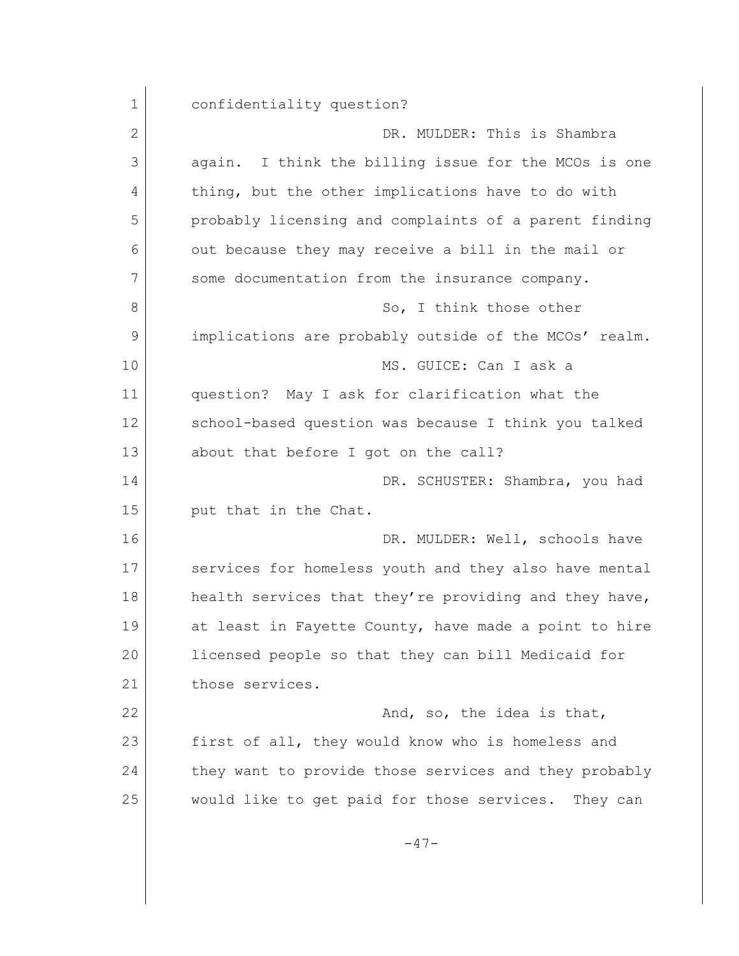1 confidentiality question? 2 DR. MULDER: This is Shambra 3 again. I think the billing issue for the MCOs is one 4 thing, but the other implications have to do with 5 probably licensing and complaints of a parent finding 6 out because they may receive a bill in the mail or 7 some documentation from the insurance company. 8 So, I think those other 9 implications are probably outside of the MCOs' realm. 10 MS. GUICE: Can I ask a 11 question? May I ask for clarification what the 12 School-based question was because I think you talked 13 about that before I got on the call? 14 DR. SCHUSTER: Shambra, you had 15 put that in the Chat. 16 DR. MULDER: Well, schools have 17 services for homeless youth and they also have mental 18 health services that they're providing and they have, 19 at least in Fayette County, have made a point to hire 20 licensed people so that they can bill Medicaid for 21 those services. 22 And, so, the idea is that, 23 first of all, they would know who is homeless and 24 they want to provide those services and they probably 25 would like to get paid for those services. They can  $-47-$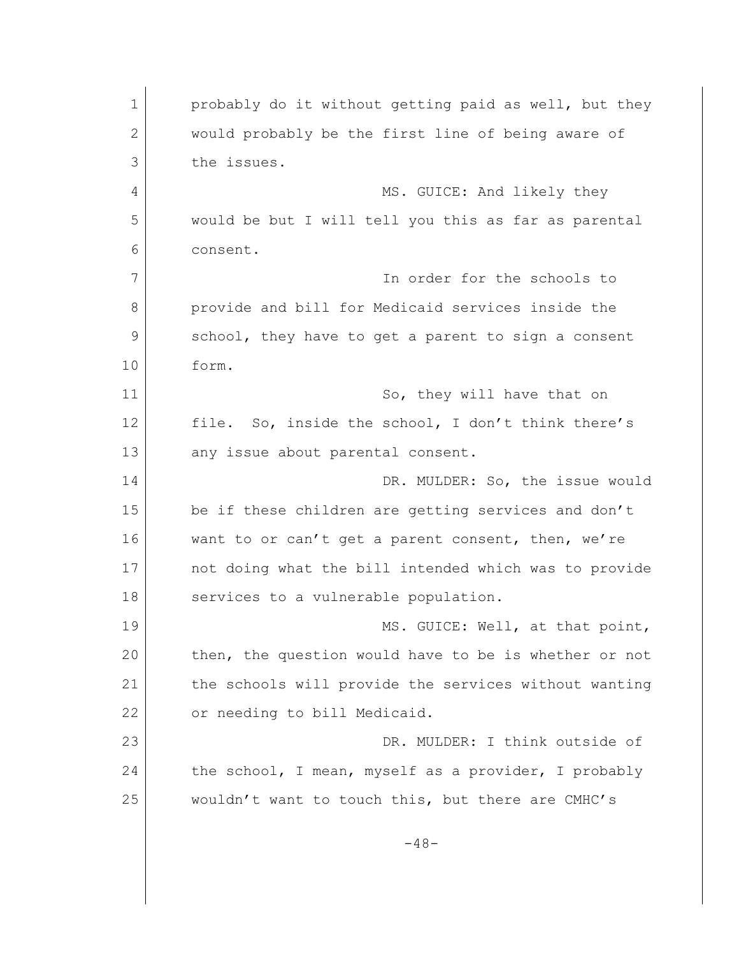1 probably do it without getting paid as well, but they 2 would probably be the first line of being aware of 3 the issues. 4 MS. GUICE: And likely they 5 would be but I will tell you this as far as parental 6 consent. 7 In order for the schools to 8 **provide and bill for Medicaid services inside the** 9 school, they have to get a parent to sign a consent 10 form. 11 So, they will have that on 12 file. So, inside the school, I don't think there's 13 any issue about parental consent. 14 DR. MULDER: So, the issue would 15 be if these children are getting services and don't 16 want to or can't get a parent consent, then, we're 17 not doing what the bill intended which was to provide 18 services to a vulnerable population. 19 MS. GUICE: Well, at that point, 20 then, the question would have to be is whether or not 21 the schools will provide the services without wanting 22 or needing to bill Medicaid. 23 DR. MULDER: I think outside of 24 the school, I mean, myself as a provider, I probably 25 wouldn't want to touch this, but there are CMHC's  $-48-$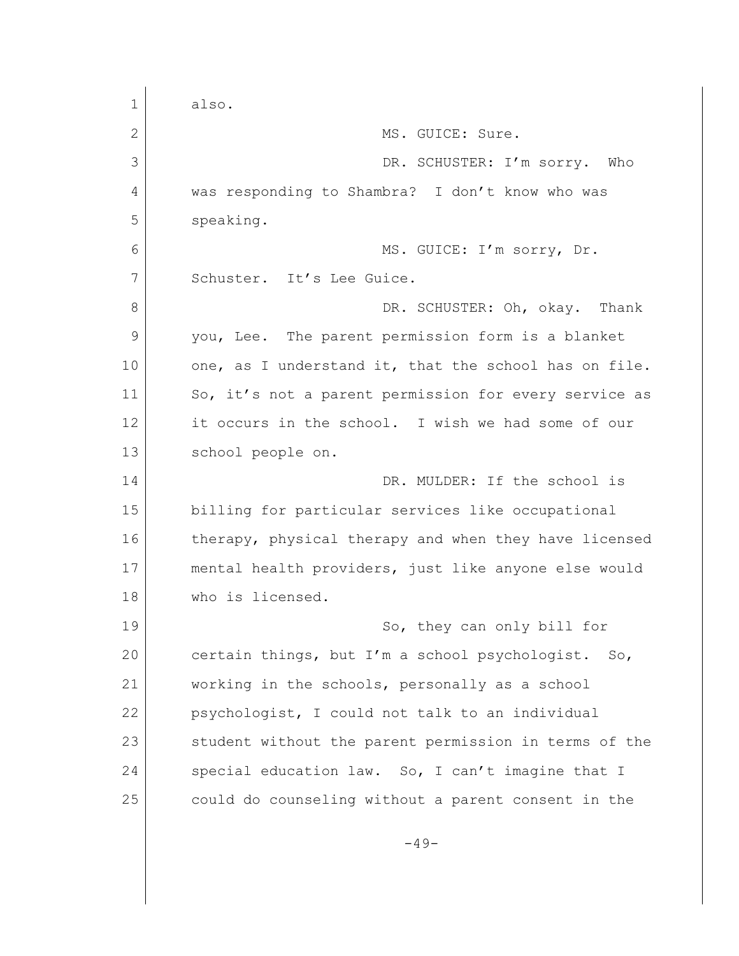1 also. 2 MS. GUICE: Sure. 3 DR. SCHUSTER: I'm sorry. Who 4 was responding to Shambra? I don't know who was 5 speaking. 6 MS. GUICE: I'm sorry, Dr. 7 Schuster. It's Lee Guice. 8 DR. SCHUSTER: Oh, okay. Thank 9 you, Lee. The parent permission form is a blanket 10 one, as I understand it, that the school has on file. 11 So, it's not a parent permission for every service as 12 it occurs in the school. I wish we had some of our 13 school people on. 14 DR. MULDER: If the school is 15 billing for particular services like occupational 16 therapy, physical therapy and when they have licensed 17 mental health providers, just like anyone else would 18 who is licensed. 19 So, they can only bill for 20 certain things, but I'm a school psychologist. So, 21 working in the schools, personally as a school 22 psychologist, I could not talk to an individual 23 student without the parent permission in terms of the 24 special education law. So, I can't imagine that I 25 could do counseling without a parent consent in the  $-49-$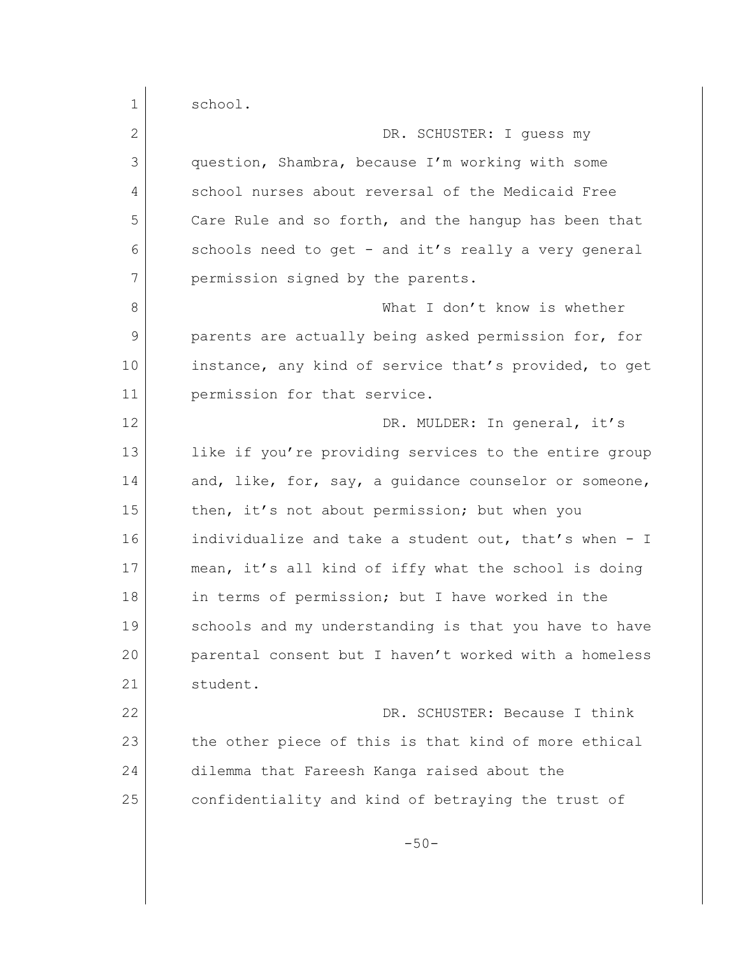1 school. 2 DR. SCHUSTER: I quess my 3 question, Shambra, because I'm working with some 4 school nurses about reversal of the Medicaid Free 5 Care Rule and so forth, and the hangup has been that 6 schools need to get - and it's really a very general 7 permission signed by the parents. 8 What I don't know is whether 9 parents are actually being asked permission for, for 10 instance, any kind of service that's provided, to get 11 permission for that service. 12 DR. MULDER: In general, it's 13 like if you're providing services to the entire group 14 and, like, for, say, a quidance counselor or someone, 15 then, it's not about permission; but when you 16 individualize and take a student out, that's when - I 17 mean, it's all kind of iffy what the school is doing 18 in terms of permission; but I have worked in the 19 schools and my understanding is that you have to have 20 parental consent but I haven't worked with a homeless 21 student. 22 DR. SCHUSTER: Because I think 23 the other piece of this is that kind of more ethical 24 dilemma that Fareesh Kanga raised about the 25 confidentiality and kind of betraying the trust of  $-50-$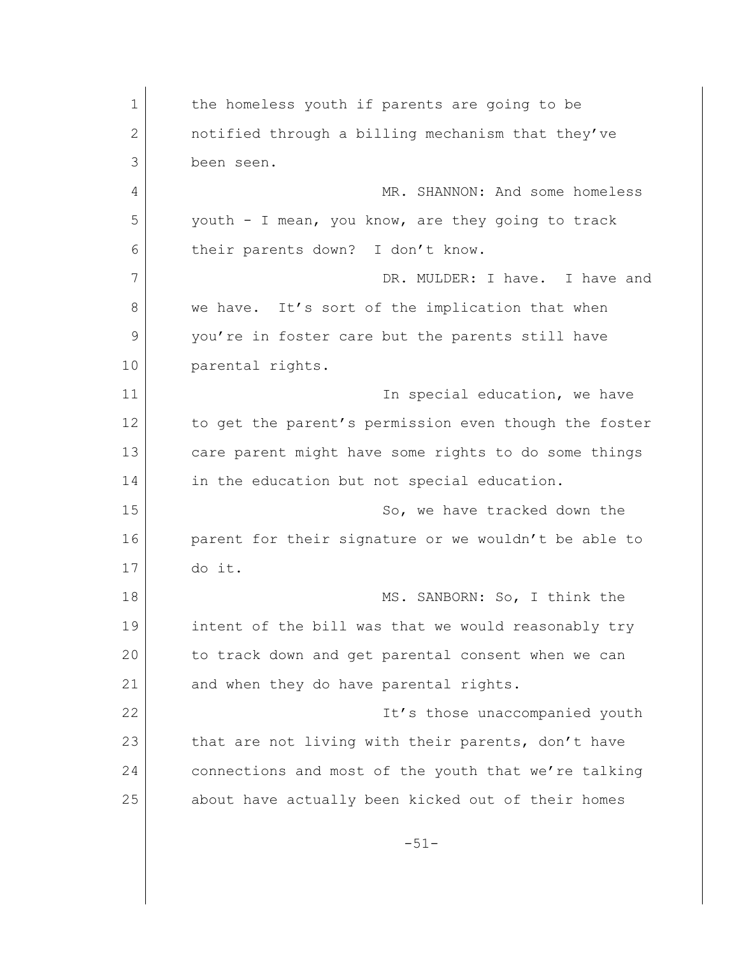1 the homeless youth if parents are going to be 2 **hologiers** notified through a billing mechanism that they've 3 been seen. 4 MR. SHANNON: And some homeless 5 youth - I mean, you know, are they going to track 6 their parents down? I don't know. 7 DR. MULDER: I have. I have and 8 we have. It's sort of the implication that when 9 you're in foster care but the parents still have 10 parental rights. 11 11 In special education, we have 12 to get the parent's permission even though the foster 13 care parent might have some rights to do some things 14 in the education but not special education. 15 So, we have tracked down the 16 parent for their signature or we wouldn't be able to 17 do it. 18 MS. SANBORN: So, I think the 19 intent of the bill was that we would reasonably try 20 to track down and get parental consent when we can 21 and when they do have parental rights. 22 **It's those unaccompanied youth** 23 that are not living with their parents, don't have 24 connections and most of the youth that we're talking 25 about have actually been kicked out of their homes -51-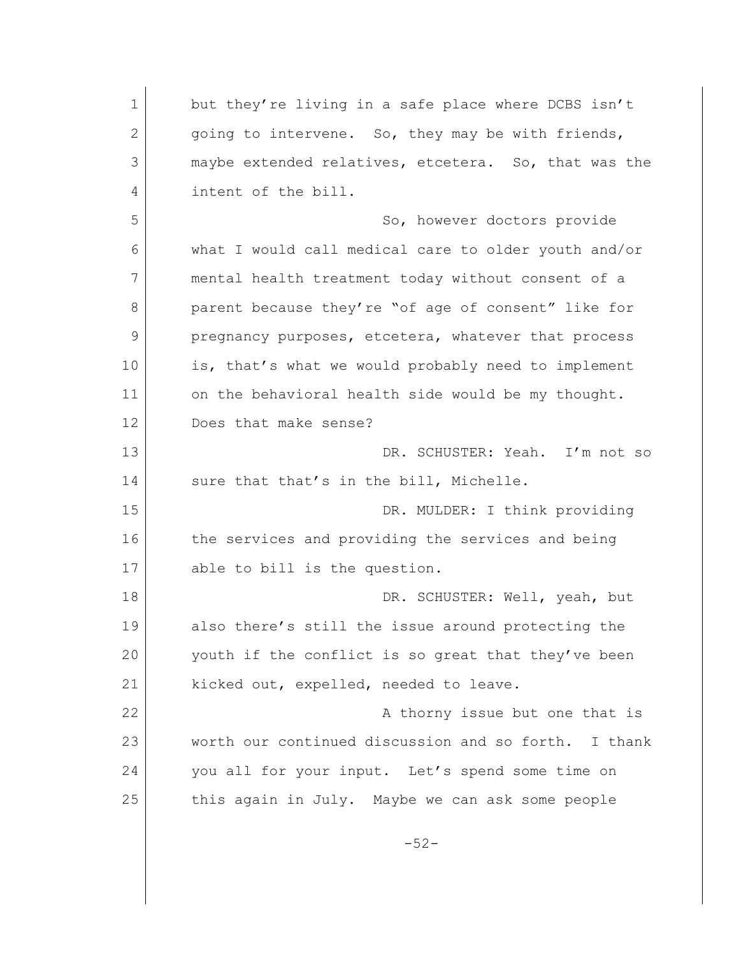1 but they're living in a safe place where DCBS isn't 2 going to intervene. So, they may be with friends, 3 maybe extended relatives, etcetera. So, that was the 4 intent of the bill. 5 So, however doctors provide 6 what I would call medical care to older youth and/or 7 mental health treatment today without consent of a 8 parent because they're "of age of consent" like for 9 pregnancy purposes, etcetera, whatever that process 10 is, that's what we would probably need to implement 11 on the behavioral health side would be my thought. 12 Does that make sense? 13 DR. SCHUSTER: Yeah. I'm not so 14 sure that that's in the bill, Michelle. 15 DR. MULDER: I think providing 16 the services and providing the services and being 17 able to bill is the question. 18 DR. SCHUSTER: Well, yeah, but 19 also there's still the issue around protecting the 20 youth if the conflict is so great that they've been 21 kicked out, expelled, needed to leave. 22 **A thorny issue but one that is** 23 worth our continued discussion and so forth. I thank 24 you all for your input. Let's spend some time on 25 this again in July. Maybe we can ask some people -52-